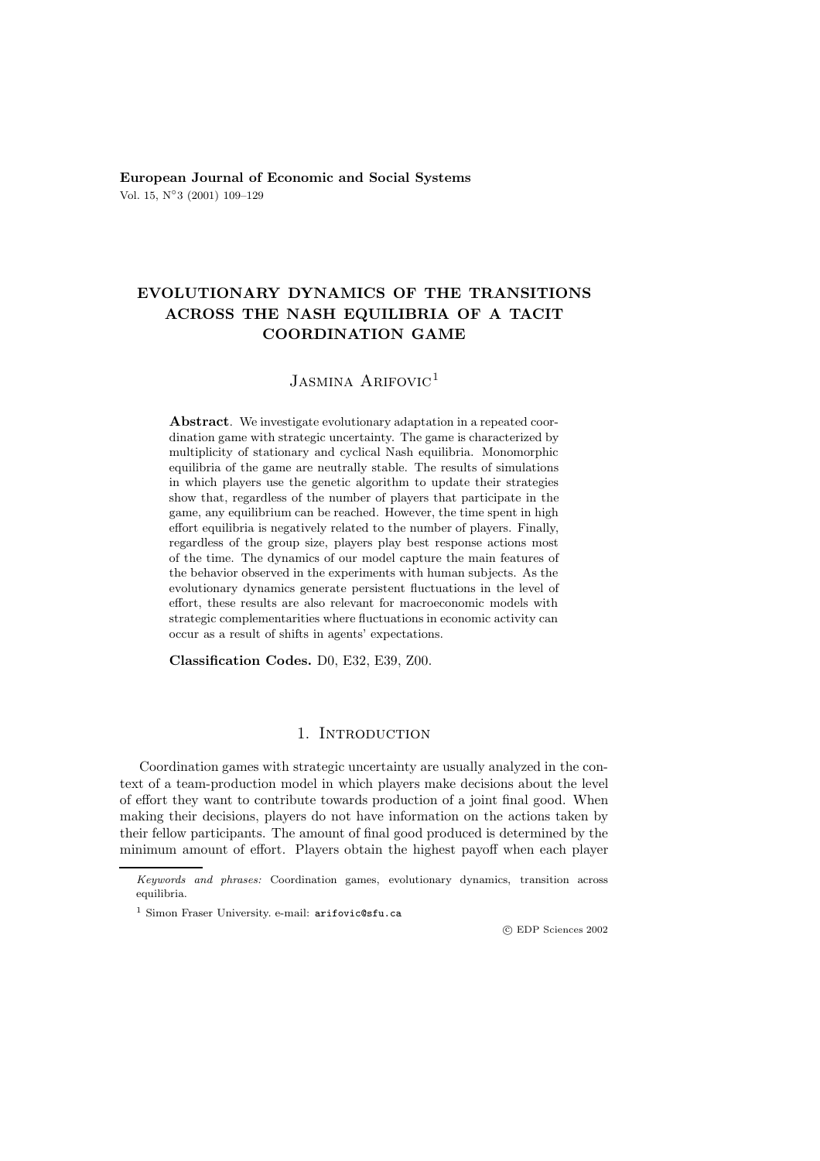**European Journal of Economic and Social Systems** Vol. 15, N◦3 (2001) 109–129

# **EVOLUTIONARY DYNAMICS OF THE TRANSITIONS ACROSS THE NASH EQUILIBRIA OF A TACIT COORDINATION GAME**

## JASMINA ARIFOVIC<sup>1</sup>

**Abstract**. We investigate evolutionary adaptation in a repeated coordination game with strategic uncertainty. The game is characterized by multiplicity of stationary and cyclical Nash equilibria. Monomorphic equilibria of the game are neutrally stable. The results of simulations in which players use the genetic algorithm to update their strategies show that, regardless of the number of players that participate in the game, any equilibrium can be reached. However, the time spent in high effort equilibria is negatively related to the number of players. Finally, regardless of the group size, players play best response actions most of the time. The dynamics of our model capture the main features of the behavior observed in the experiments with human subjects. As the evolutionary dynamics generate persistent fluctuations in the level of effort, these results are also relevant for macroeconomic models with strategic complementarities where fluctuations in economic activity can occur as a result of shifts in agents' expectations.

**Classification Codes.** D0, E32, E39, Z00.

### 1. Introduction

Coordination games with strategic uncertainty are usually analyzed in the context of a team-production model in which players make decisions about the level of effort they want to contribute towards production of a joint final good. When making their decisions, players do not have information on the actions taken by their fellow participants. The amount of final good produced is determined by the minimum amount of effort. Players obtain the highest payoff when each player

c EDP Sciences 2002

Keywords and phrases: Coordination games, evolutionary dynamics, transition across equilibria.

<sup>1</sup> Simon Fraser University. e-mail: arifovic@sfu.ca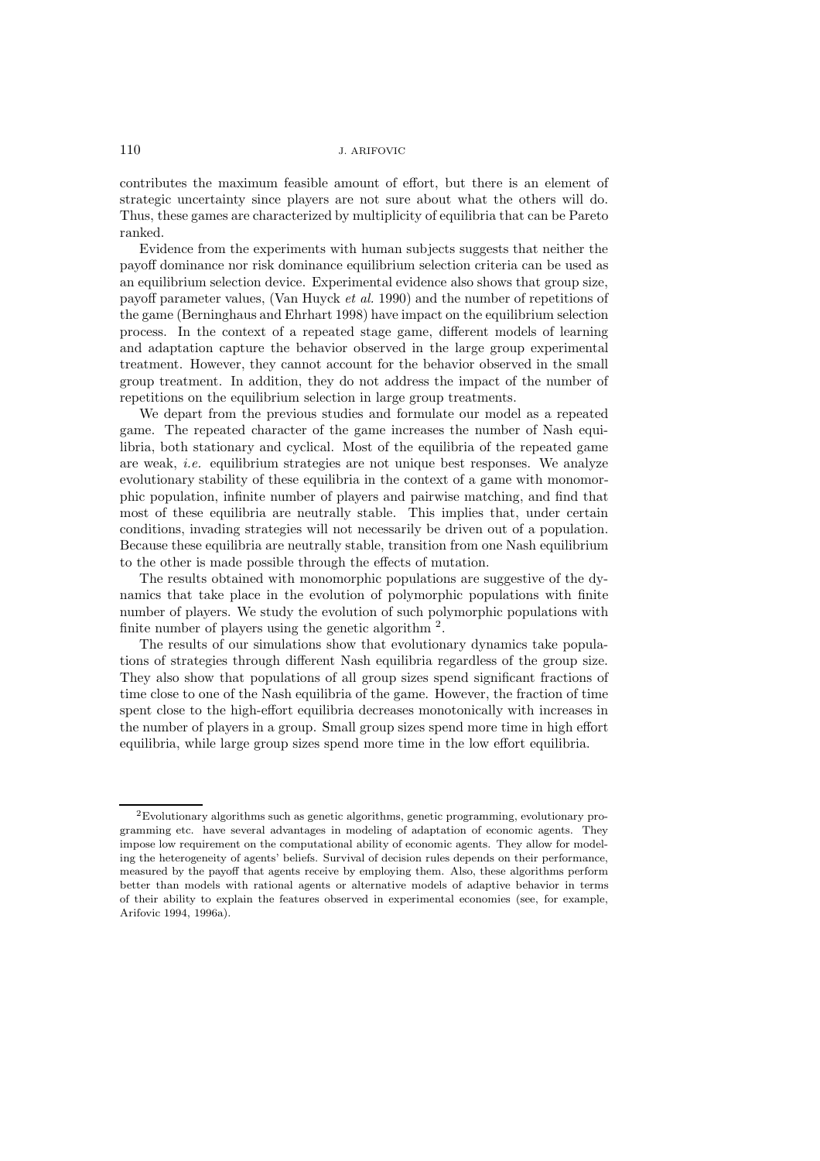contributes the maximum feasible amount of effort, but there is an element of strategic uncertainty since players are not sure about what the others will do. Thus, these games are characterized by multiplicity of equilibria that can be Pareto ranked.

Evidence from the experiments with human subjects suggests that neither the payoff dominance nor risk dominance equilibrium selection criteria can be used as an equilibrium selection device. Experimental evidence also shows that group size, payoff parameter values, (Van Huyck *et al.* 1990) and the number of repetitions of the game (Berninghaus and Ehrhart 1998) have impact on the equilibrium selection process. In the context of a repeated stage game, different models of learning and adaptation capture the behavior observed in the large group experimental treatment. However, they cannot account for the behavior observed in the small group treatment. In addition, they do not address the impact of the number of repetitions on the equilibrium selection in large group treatments.

We depart from the previous studies and formulate our model as a repeated game. The repeated character of the game increases the number of Nash equilibria, both stationary and cyclical. Most of the equilibria of the repeated game are weak, *i.e.* equilibrium strategies are not unique best responses. We analyze evolutionary stability of these equilibria in the context of a game with monomorphic population, infinite number of players and pairwise matching, and find that most of these equilibria are neutrally stable. This implies that, under certain conditions, invading strategies will not necessarily be driven out of a population. Because these equilibria are neutrally stable, transition from one Nash equilibrium to the other is made possible through the effects of mutation.

The results obtained with monomorphic populations are suggestive of the dynamics that take place in the evolution of polymorphic populations with finite number of players. We study the evolution of such polymorphic populations with finite number of players using the genetic algorithm <sup>2</sup>.

The results of our simulations show that evolutionary dynamics take populations of strategies through different Nash equilibria regardless of the group size. They also show that populations of all group sizes spend significant fractions of time close to one of the Nash equilibria of the game. However, the fraction of time spent close to the high-effort equilibria decreases monotonically with increases in the number of players in a group. Small group sizes spend more time in high effort equilibria, while large group sizes spend more time in the low effort equilibria.

<sup>2</sup>Evolutionary algorithms such as genetic algorithms, genetic programming, evolutionary programming etc. have several advantages in modeling of adaptation of economic agents. They impose low requirement on the computational ability of economic agents. They allow for modeling the heterogeneity of agents' beliefs. Survival of decision rules depends on their performance, measured by the payoff that agents receive by employing them. Also, these algorithms perform better than models with rational agents or alternative models of adaptive behavior in terms of their ability to explain the features observed in experimental economies (see, for example, Arifovic 1994, 1996a).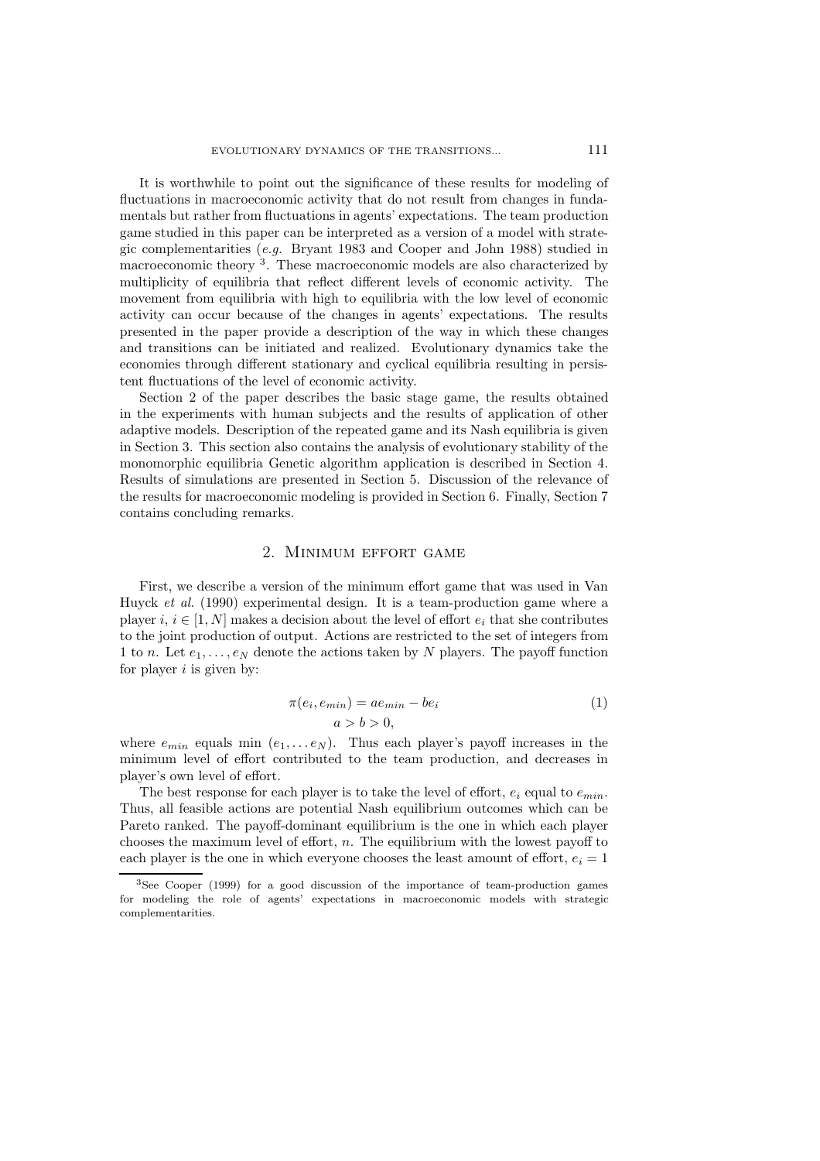It is worthwhile to point out the significance of these results for modeling of fluctuations in macroeconomic activity that do not result from changes in fundamentals but rather from fluctuations in agents' expectations. The team production game studied in this paper can be interpreted as a version of a model with strategic complementarities (*e.g.* Bryant 1983 and Cooper and John 1988) studied in macroeconomic theory <sup>3</sup>. These macroeconomic models are also characterized by multiplicity of equilibria that reflect different levels of economic activity. The movement from equilibria with high to equilibria with the low level of economic activity can occur because of the changes in agents' expectations. The results presented in the paper provide a description of the way in which these changes and transitions can be initiated and realized. Evolutionary dynamics take the economies through different stationary and cyclical equilibria resulting in persistent fluctuations of the level of economic activity.

Section 2 of the paper describes the basic stage game, the results obtained in the experiments with human subjects and the results of application of other adaptive models. Description of the repeated game and its Nash equilibria is given in Section 3. This section also contains the analysis of evolutionary stability of the monomorphic equilibria Genetic algorithm application is described in Section 4. Results of simulations are presented in Section 5. Discussion of the relevance of the results for macroeconomic modeling is provided in Section 6. Finally, Section 7 contains concluding remarks.

#### 2. Minimum effort game

First, we describe a version of the minimum effort game that was used in Van Huyck *et al.* (1990) experimental design. It is a team-production game where a player i,  $i \in [1, N]$  makes a decision about the level of effort  $e_i$  that she contributes to the joint production of output. Actions are restricted to the set of integers from 1 to n. Let  $e_1,\ldots,e_N$  denote the actions taken by N players. The payoff function for player  $i$  is given by:

$$
\pi(e_i, e_{min}) = ae_{min} - be_i
$$
\n
$$
a > b > 0,
$$
\n
$$
\pi(e_i, e_{min}) = a e_{min} - be_i
$$
\n
$$
\pi(e_i, e_{min}) = a e_{min} - be_i
$$
\n
$$
\pi(e_i, e_{min}) = a e_{min} - be_i
$$
\n
$$
\pi(e_i, e_{min}) = a e_{min} - be_i
$$

where  $e_{min}$  equals min  $(e_1, \ldots e_N)$ . Thus each player's payoff increases in the minimum level of effort contributed to the team production and decreases in minimum level of effort contributed to the team production, and decreases in player's own level of effort.

The best response for each player is to take the level of effort,  $e_i$  equal to  $e_{min}$ . Thus, all feasible actions are potential Nash equilibrium outcomes which can be Pareto ranked. The payoff-dominant equilibrium is the one in which each player chooses the maximum level of effort,  $n$ . The equilibrium with the lowest payoff to each player is the one in which everyone chooses the least amount of effort,  $e_i = 1$ 

<sup>3</sup>See Cooper (1999) for a good discussion of the importance of team-production games for modeling the role of agents' expectations in macroeconomic models with strategic complementarities.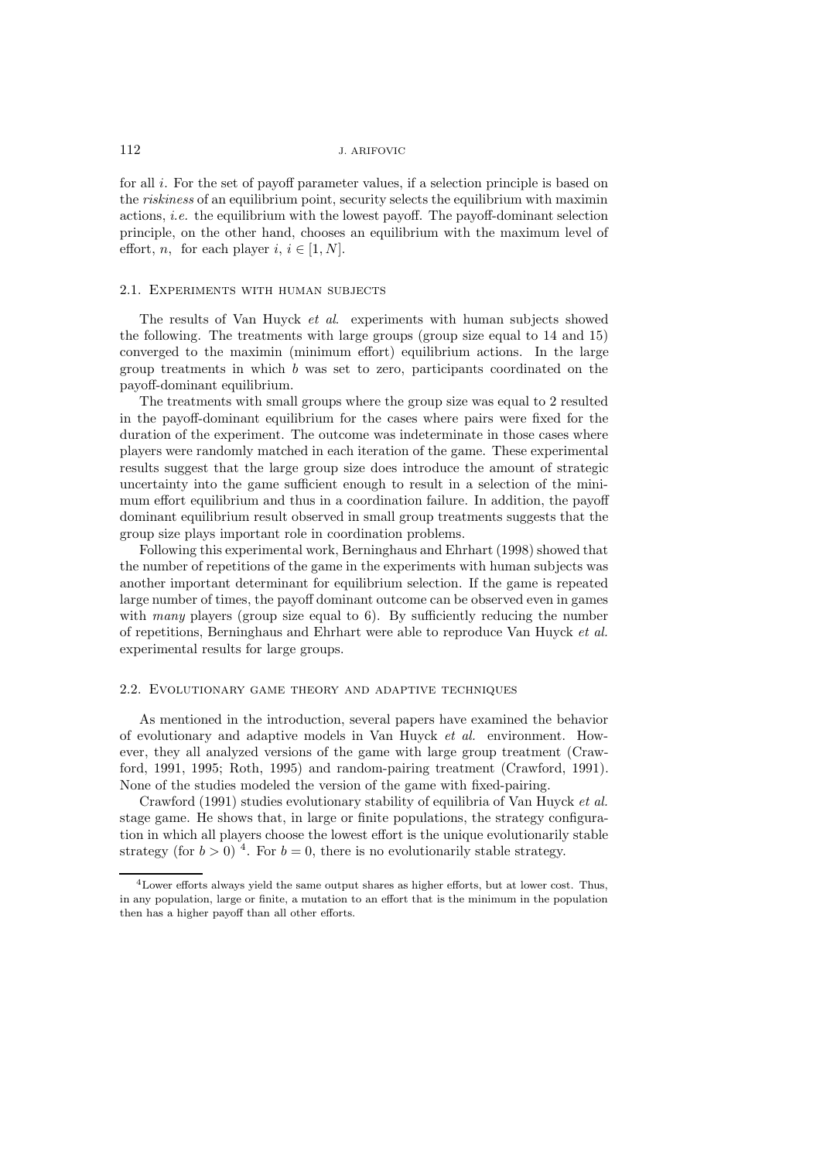for all i. For the set of payoff parameter values, if a selection principle is based on the *riskiness* of an equilibrium point, security selects the equilibrium with maximin actions, *i.e.* the equilibrium with the lowest payoff. The payoff-dominant selection principle, on the other hand, chooses an equilibrium with the maximum level of effort, *n*, for each player *i*,  $i \in [1, N]$ .

#### 2.1. Experiments with human subjects

The results of Van Huyck *et al*. experiments with human subjects showed the following. The treatments with large groups (group size equal to 14 and 15) converged to the maximin (minimum effort) equilibrium actions. In the large group treatments in which b was set to zero, participants coordinated on the payoff-dominant equilibrium.

The treatments with small groups where the group size was equal to 2 resulted in the payoff-dominant equilibrium for the cases where pairs were fixed for the duration of the experiment. The outcome was indeterminate in those cases where players were randomly matched in each iteration of the game. These experimental results suggest that the large group size does introduce the amount of strategic uncertainty into the game sufficient enough to result in a selection of the minimum effort equilibrium and thus in a coordination failure. In addition, the payoff dominant equilibrium result observed in small group treatments suggests that the group size plays important role in coordination problems.

Following this experimental work, Berninghaus and Ehrhart (1998) showed that the number of repetitions of the game in the experiments with human subjects was another important determinant for equilibrium selection. If the game is repeated large number of times, the payoff dominant outcome can be observed even in games with *many* players (group size equal to 6). By sufficiently reducing the number of repetitions, Berninghaus and Ehrhart were able to reproduce Van Huyck *et al.* experimental results for large groups.

#### 2.2. Evolutionary game theory and adaptive techniques

As mentioned in the introduction, several papers have examined the behavior of evolutionary and adaptive models in Van Huyck *et al.* environment. However, they all analyzed versions of the game with large group treatment (Crawford, 1991, 1995; Roth, 1995) and random-pairing treatment (Crawford, 1991). None of the studies modeled the version of the game with fixed-pairing.

Crawford (1991) studies evolutionary stability of equilibria of Van Huyck *et al.* stage game. He shows that, in large or finite populations, the strategy configuration in which all players choose the lowest effort is the unique evolutionarily stable strategy (for  $b > 0$ )<sup>4</sup>. For  $b = 0$ , there is no evolutionarily stable strategy.

<sup>4</sup>Lower efforts always yield the same output shares as higher efforts, but at lower cost. Thus, in any population, large or finite, a mutation to an effort that is the minimum in the population then has a higher payoff than all other efforts.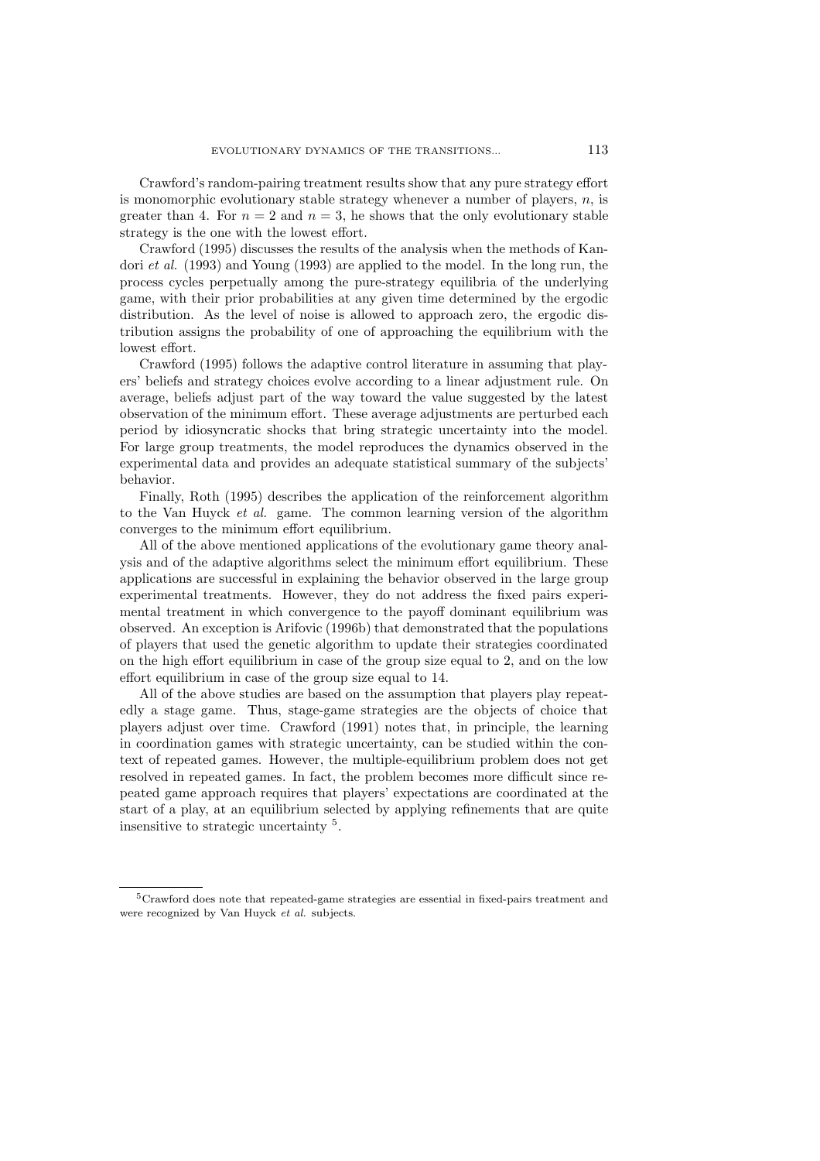Crawford's random-pairing treatment results show that any pure strategy effort is monomorphic evolutionary stable strategy whenever a number of players,  $n$ , is greater than 4. For  $n = 2$  and  $n = 3$ , he shows that the only evolutionary stable strategy is the one with the lowest effort.

Crawford (1995) discusses the results of the analysis when the methods of Kandori *et al.* (1993) and Young (1993) are applied to the model. In the long run, the process cycles perpetually among the pure-strategy equilibria of the underlying game, with their prior probabilities at any given time determined by the ergodic distribution. As the level of noise is allowed to approach zero, the ergodic distribution assigns the probability of one of approaching the equilibrium with the lowest effort.

Crawford (1995) follows the adaptive control literature in assuming that players' beliefs and strategy choices evolve according to a linear adjustment rule. On average, beliefs adjust part of the way toward the value suggested by the latest observation of the minimum effort. These average adjustments are perturbed each period by idiosyncratic shocks that bring strategic uncertainty into the model. For large group treatments, the model reproduces the dynamics observed in the experimental data and provides an adequate statistical summary of the subjects' behavior.

Finally, Roth (1995) describes the application of the reinforcement algorithm to the Van Huyck *et al.* game. The common learning version of the algorithm converges to the minimum effort equilibrium.

All of the above mentioned applications of the evolutionary game theory analysis and of the adaptive algorithms select the minimum effort equilibrium. These applications are successful in explaining the behavior observed in the large group experimental treatments. However, they do not address the fixed pairs experimental treatment in which convergence to the payoff dominant equilibrium was observed. An exception is Arifovic (1996b) that demonstrated that the populations of players that used the genetic algorithm to update their strategies coordinated on the high effort equilibrium in case of the group size equal to 2, and on the low effort equilibrium in case of the group size equal to 14.

All of the above studies are based on the assumption that players play repeatedly a stage game. Thus, stage-game strategies are the objects of choice that players adjust over time. Crawford (1991) notes that, in principle, the learning in coordination games with strategic uncertainty, can be studied within the context of repeated games. However, the multiple-equilibrium problem does not get resolved in repeated games. In fact, the problem becomes more difficult since repeated game approach requires that players' expectations are coordinated at the start of a play, at an equilibrium selected by applying refinements that are quite insensitive to strategic uncertainty <sup>5</sup>.

<sup>5</sup>Crawford does note that repeated-game strategies are essential in fixed-pairs treatment and were recognized by Van Huyck et al. subjects.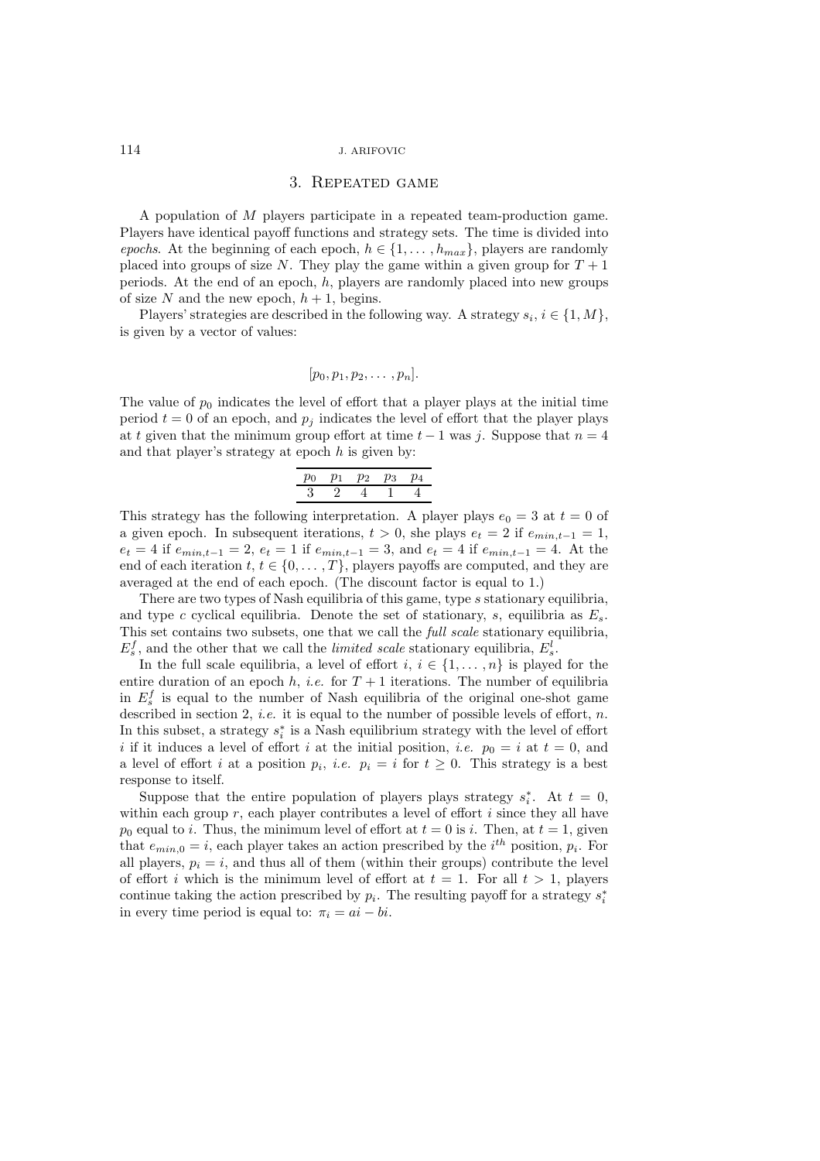## 3. Repeated game

A population of M players participate in a repeated team-production game. Players have identical payoff functions and strategy sets. The time is divided into *epochs*. At the beginning of each epoch,  $h \in \{1, \ldots, h_{max}\}\$ , players are randomly placed into groups of size N. They play the game within a given group for  $T + 1$ periods. At the end of an epoch,  $h$ , players are randomly placed into new groups of size N and the new epoch,  $h + 1$ , begins.

Players' strategies are described in the following way. A strategy  $s_i, i \in \{1, M\},$ is given by a vector of values:

$$
[p_0, p_1, p_2, \ldots, p_n].
$$

The value of  $p_0$  indicates the level of effort that a player plays at the initial time period  $t = 0$  of an epoch, and  $p_i$  indicates the level of effort that the player plays at t given that the minimum group effort at time  $t-1$  was j. Suppose that  $n=4$ and that player's strategy at epoch  $h$  is given by:

$$
\begin{array}{cccccc}\np_0 & p_1 & p_2 & p_3 & p_4 \\
\hline\n3 & 2 & 4 & 1 & 4\n\end{array}
$$

This strategy has the following interpretation. A player plays  $e_0 = 3$  at  $t = 0$  of a given epoch. In subsequent iterations,  $t > 0$ , she plays  $e_t = 2$  if  $e_{min,t-1} = 1$ ,  $e_t = 4$  if  $e_{min,t-1} = 2$ ,  $e_t = 1$  if  $e_{min,t-1} = 3$ , and  $e_t = 4$  if  $e_{min,t-1} = 4$ . At the end of each iteration  $t, t \in \{0, \ldots, T\}$ , players payoffs are computed, and they are averaged at the end of each epoch. (The discount factor is equal to 1.)

There are two types of Nash equilibria of this game, type s stationary equilibria, and type c cyclical equilibria. Denote the set of stationary, s, equilibria as  $E_s$ . This set contains two subsets, one that we call the *full scale* stationary equilibria,  $E_s^f$ , and the other that we call the *limited scale* stationary equilibria,  $E_s^l$ .<br>In the full scale equilibria, a level of effort  $i, i \in I_1$ , and is played

In the full scale equilibria, a level of effort  $i, i \in \{1, \ldots, n\}$  is played for the entire duration of an epoch  $h$ , *i.e.* for  $T + 1$  iterations. The number of equilibria in  $E_s^f$  is equal to the number of Nash equilibria of the original one-shot game<br>described in section 2, i.e., it is equal to the number of possible levels of effort, n described in section 2, *i.e.* it is equal to the number of possible levels of effort, *n*. In this subset, a strategy  $s_i^*$  is a Nash equilibrium strategy with the level of effort  $i$  if it induces a level of effort  $i$  at the initial position, i.e.,  $n_0 = i$  at  $t = 0$ , and i if it induces a level of effort i at the initial position, *i.e.*  $p_0 = i$  at  $t = 0$ , and a level of effort i at a position  $p_i$ , i.e.  $p_i = i$  for  $t \geq 0$ . This strategy is a best response to itself.

Suppose that the entire population of players plays strategy  $s_i^*$ . At  $t = 0$ , his each group  $r$ , each player contributes a level of effort *i* since they all have within each group  $r$ , each player contributes a level of effort  $i$  since they all have  $p_0$  equal to *i*. Thus, the minimum level of effort at  $t = 0$  is *i*. Then, at  $t = 1$ , given that  $e_{min,0} = i$ , each player takes an action prescribed by the  $i^{th}$  position,  $p_i$ . For all players  $p_i - i$  and thus all of them (within their groups) contribute the level all players,  $p_i = i$ , and thus all of them (within their groups) contribute the level of effort i which is the minimum level of effort at  $t = 1$ . For all  $t > 1$ , players continue taking the action prescribed by  $p_i$ . The resulting payoff for a strategy  $s_i^*$ <br>in every time period is equal to:  $\pi_i = qi - bi$ in every time period is equal to:  $\pi_i = ai - bi$ .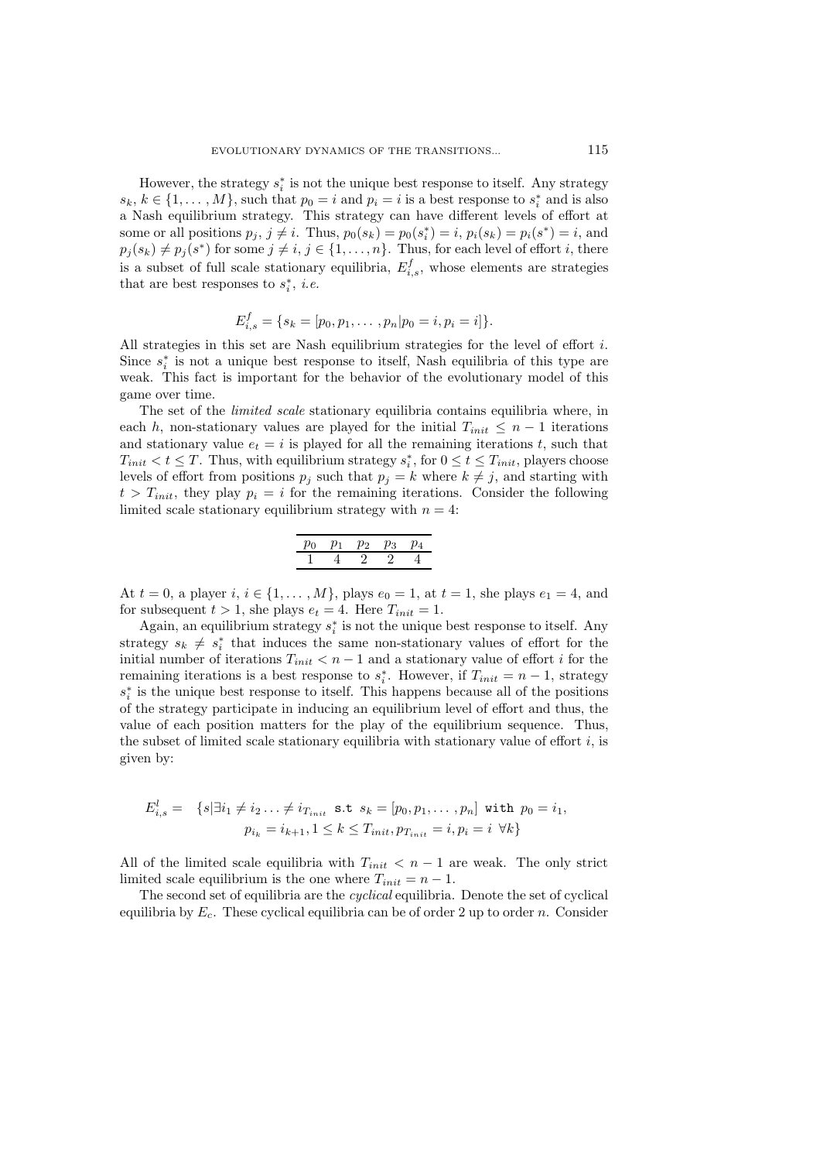However, the strategy  $s_i^*$  is not the unique best response to itself. Any strategy  $k \in I_1$   $M_k$  such that  $n_k - i$  and  $n_i - i$  is a best response to  $s^*$  and is also  $s_k, k \in \{1, \ldots, M\}$ , such that  $p_0 = i$  and  $p_i = i$  is a best response to  $s_i^*$  and is also<br>a Nash equilibrium strategy. This strategy can have different levels of effort at a Nash equilibrium strategy. This strategy can have different levels of effort at some or all positions  $p_j$ ,  $j \neq i$ . Thus,  $p_0(s_k) = p_0(s_i^*) = i$ ,  $p_i(s_k) = p_i(s^*) = i$ , and  $p_i(s_k) \neq p_i(s^*)$  for some  $i \neq i$ ,  $i \in I_1$ ,  $p_i$ . Thus, for each level of effort it here  $p_i(s_k) \neq p_i(s^*)$  for some  $j \neq i, j \in \{1, \ldots, n\}$ . Thus, for each level of effort i, there is a subset of full scale stationary equilibria,  $E_{i,s}^f$ , whose elements are strategies that are best responses to  $s^*$ , i.e. that are best responses to  $s_i^*$ , *i.e.* 

$$
E_{i,s}^f = \{s_k = [p_0, p_1, \dots, p_n | p_0 = i, p_i = i]\}.
$$

All strategies in this set are Nash equilibrium strategies for the level of effort i. Since  $s_i^*$  is not a unique best response to itself, Nash equilibria of this type are<br>weak. This fact is important for the behavior of the evolutionary model of this weak. This fact is important for the behavior of the evolutionary model of this game over time.

The set of the *limited scale* stationary equilibria contains equilibria where, in each h, non-stationary values are played for the initial  $T_{init} \leq n-1$  iterations and stationary value  $e_t = i$  is played for all the remaining iterations t, such that  $T_{init} < t \leq T$ . Thus, with equilibrium strategy  $s_i^*$ , for  $0 \leq t \leq T_{init}$ , players choose<br>levels of effort from positions  $p_i$  such that  $p_i = k$  where  $k \neq i$  and starting with levels of effort from positions  $p_j$  such that  $p_j = k$  where  $k \neq j$ , and starting with  $t>T_{init}$ , they play  $p_i = i$  for the remaining iterations. Consider the following limited scale stationary equilibrium strategy with  $n = 4$ :

$$
\begin{array}{cccccc}\np_0 & p_1 & p_2 & p_3 & p_4 \\
\hline\n1 & 4 & 2 & 2 & 4\n\end{array}
$$

At  $t = 0$ , a player  $i, i \in \{1, ..., M\}$ , plays  $e_0 = 1$ , at  $t = 1$ , she plays  $e_1 = 4$ , and for subsequent  $t > 1$ , she plays  $e_t = 4$ . Here  $T_{init} = 1$ .

Again, an equilibrium strategy  $s_i^*$  is not the unique best response to itself. Any story  $s_i \neq s^*$  that induces the same pop-stationary values of effort for the strategy  $s_k \neq s_i^*$  that induces the same non-stationary values of effort for the initial number of iterations  $T_{i+1} \leq n-1$  and a stationary value of effort *i* for the initial number of iterations  $T_{init} < n - 1$  and a stationary value of effort *i* for the remaining iterations is a best response to  $s_i^*$ . However, if  $T_{init} = n - 1$ , strategy  $s^*$  is the unique best response to itself. This happens because all of the positions s<sup>∗</sup> is the unique best response to itself. This happens because all of the positions of the strategy participate in inducing an equilibrium level of effort and thus the of the strategy participate in inducing an equilibrium level of effort and thus, the value of each position matters for the play of the equilibrium sequence. Thus, the subset of limited scale stationary equilibria with stationary value of effort  $i$ , is given by:

$$
E_{i,s}^l = \{ s | \exists i_1 \neq i_2 \ldots \neq i_{T_{init}} \text{ s.t } s_k = [p_0, p_1, \ldots, p_n] \text{ with } p_0 = i_1, p_{i_k} = i_{k+1}, 1 \leq k \leq T_{init}, p_{T_{init}} = i, p_i = i \ \forall k \}
$$

All of the limited scale equilibria with  $T_{init} < n - 1$  are weak. The only strict limited scale equilibrium is the one where  $T_{init} = n - 1$ .

The second set of equilibria are the *cyclical* equilibria. Denote the set of cyclical equilibria by  $E_c$ . These cyclical equilibria can be of order 2 up to order n. Consider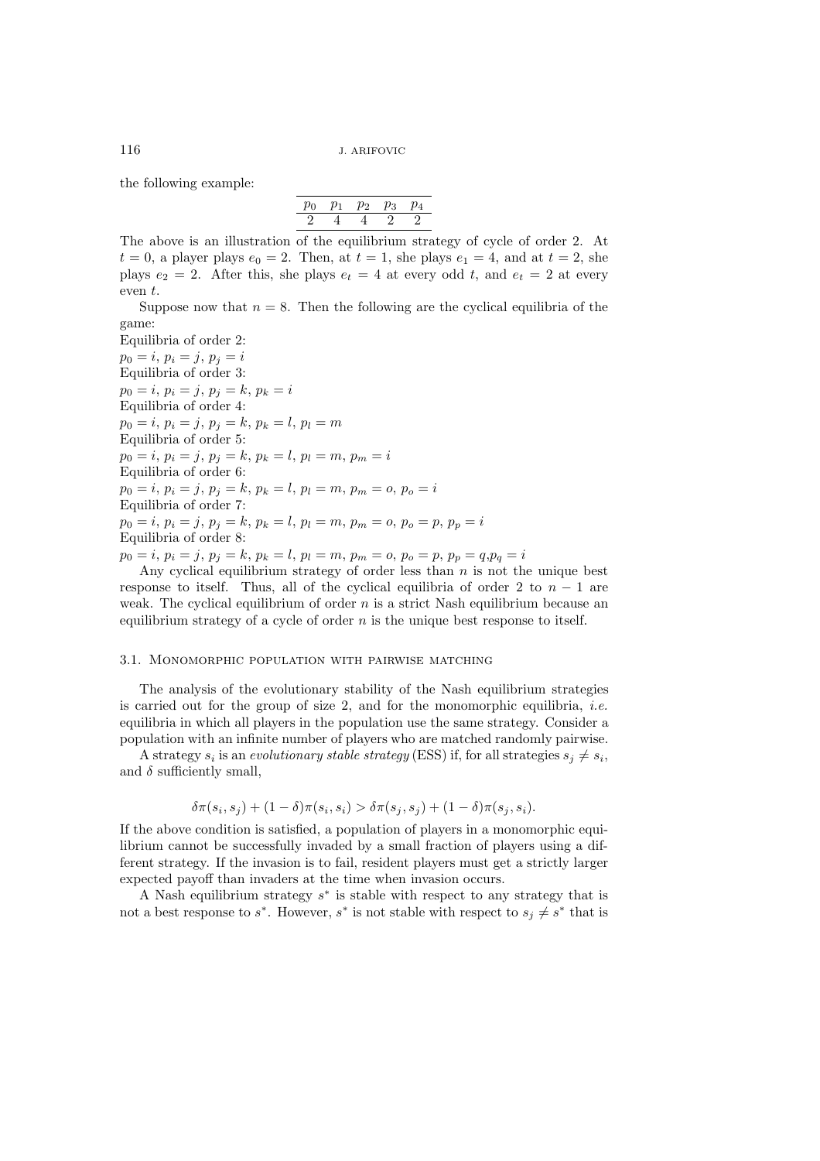the following example:

| $p_0$ | U1 | w | vз |  |
|-------|----|---|----|--|
| 2     |    |   |    |  |

The above is an illustration of the equilibrium strategy of cycle of order 2. At  $t = 0$ , a player plays  $e_0 = 2$ . Then, at  $t = 1$ , she plays  $e_1 = 4$ , and at  $t = 2$ , she plays  $e_2 = 2$ . After this, she plays  $e_t = 4$  at every odd t, and  $e_t = 2$  at every even t.

Suppose now that  $n = 8$ . Then the following are the cyclical equilibria of the game:

Equilibria of order 2:  $p_0 = i, p_i = j, p_j = i$ Equilibria of order 3:  $p_0 = i, p_i = j, p_j = k, p_k = i$ Equilibria of order 4:  $p_0 = i, p_i = j, p_j = k, p_k = l, p_l = m$ Equilibria of order 5:  $p_0 = i, p_i = j, p_j = k, p_k = l, p_l = m, p_m = i$ Equilibria of order 6:  $p_0 = i, p_i = j, p_j = k, p_k = l, p_l = m, p_m = o, p_o = i$ Equilibria of order 7:  $p_0 = i, p_i = j, p_j = k, p_k = l, p_l = m, p_m = o, p_o = p, p_p = i$ Equilibria of order 8:

$$
p_0 = i
$$
,  $p_i = j$ ,  $p_j = k$ ,  $p_k = l$ ,  $p_l = m$ ,  $p_m = o$ ,  $p_o = p$ ,  $p_p = q$ ,  $p_q = i$   
Any cyclical equilibrium strategy of order less than n is not the

Any cyclical equilibrium strategy of order less than *n* is not the unique best<br>popse to itself. Thus, all of the cyclical equilibria of order 2 to  $n-1$  are response to itself. Thus, all of the cyclical equilibria of order 2 to  $n-1$  are weak. The cyclical equilibrium of order n is a strict Nash equilibrium because an equilibrium strategy of a cycle of order  $n$  is the unique best response to itself.

#### 3.1. Monomorphic population with pairwise matching

The analysis of the evolutionary stability of the Nash equilibrium strategies is carried out for the group of size 2, and for the monomorphic equilibria, *i.e.* equilibria in which all players in the population use the same strategy. Consider a population with an infinite number of players who are matched randomly pairwise.

A strategy  $s_i$  is an *evolutionary stable strategy* (ESS) if, for all strategies  $s_j \neq s_i$ , and  $\delta$  sufficiently small,

$$
\delta\pi(s_i, s_j) + (1 - \delta)\pi(s_i, s_i) > \delta\pi(s_j, s_j) + (1 - \delta)\pi(s_j, s_i).
$$

If the above condition is satisfied, a population of players in a monomorphic equilibrium cannot be successfully invaded by a small fraction of players using a different strategy. If the invasion is to fail, resident players must get a strictly larger expected payoff than invaders at the time when invasion occurs.

A Nash equilibrium strategy  $s^*$  is stable with respect to any strategy that is not a best response to s<sup>\*</sup>. However, s<sup>\*</sup> is not stable with respect to  $s_i \neq s^*$  that is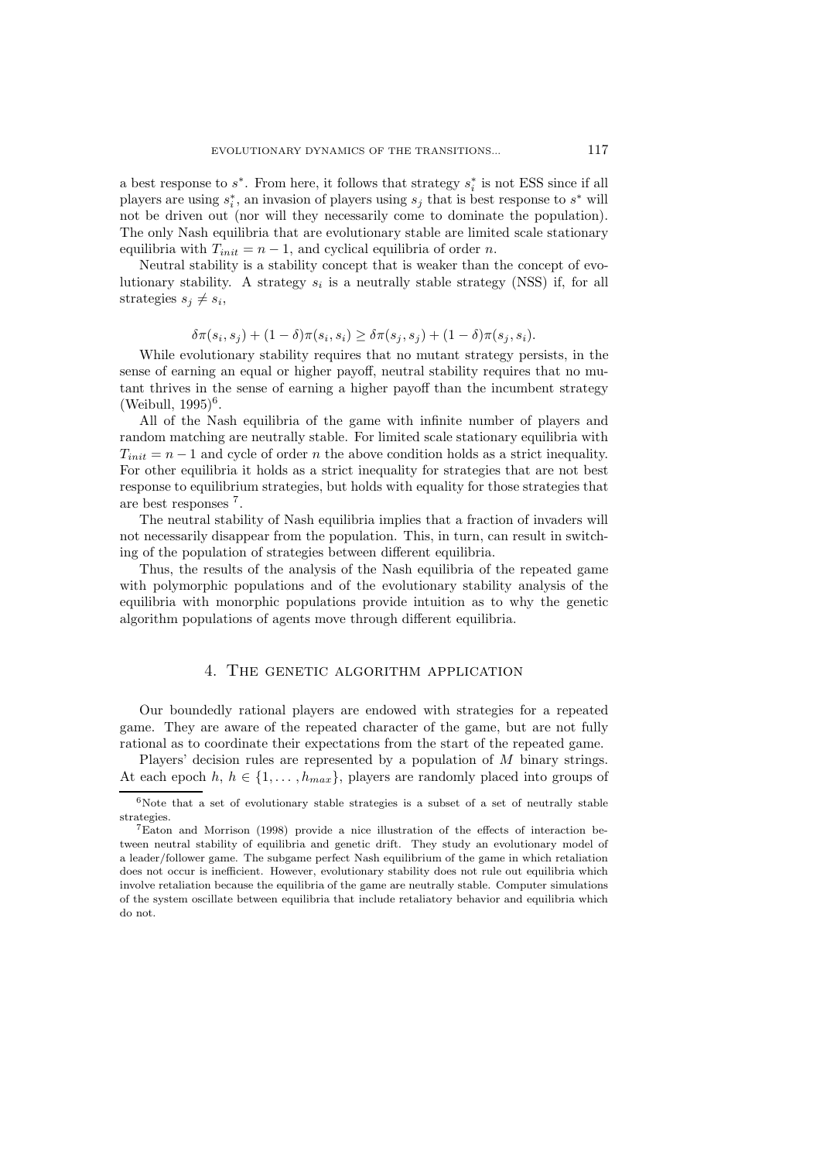a best response to s<sup>\*</sup>. From here, it follows that strategy  $s_i^*$  is not ESS since if all players are using  $s^*$  an invasion of players using  $s$ , that is best response to  $s^*$  will players are using  $s_i^*$ , an invasion of players using  $s_j$  that is best response to  $s^*$  will<br>not be driven out (nor will they necessarily come to dominate the population) not be driven out (nor will they necessarily come to dominate the population). The only Nash equilibria that are evolutionary stable are limited scale stationary equilibria with  $T_{init} = n - 1$ , and cyclical equilibria of order n.

Neutral stability is a stability concept that is weaker than the concept of evolutionary stability. A strategy  $s_i$  is a neutrally stable strategy (NSS) if, for all strategies  $s_i \neq s_i$ ,

$$
\delta \pi(s_i, s_j) + (1 - \delta) \pi(s_i, s_i) \geq \delta \pi(s_i, s_j) + (1 - \delta) \pi(s_i, s_i).
$$

 $\delta \pi(s_i, s_j) + (1 - \delta) \pi(s_i, s_i) \geq \delta \pi(s_j, s_j) + (1 - \delta) \pi(s_j, s_i)$ .<br>While evolutionary stability requires that no mutant strategy persists, in the sense of earning an equal or higher payoff, neutral stability requires that no mutant thrives in the sense of earning a higher payoff than the incumbent strategy (Weibull,  $1995$ <sup>6</sup>.

All of the Nash equilibria of the game with infinite number of players and random matching are neutrally stable. For limited scale stationary equilibria with  $T_{init} = n - 1$  and cycle of order n the above condition holds as a strict inequality. For other equilibria it holds as a strict inequality for strategies that are not best response to equilibrium strategies, but holds with equality for those strategies that are best responses <sup>7</sup>.

The neutral stability of Nash equilibria implies that a fraction of invaders will not necessarily disappear from the population. This, in turn, can result in switching of the population of strategies between different equilibria.

Thus, the results of the analysis of the Nash equilibria of the repeated game with polymorphic populations and of the evolutionary stability analysis of the equilibria with monorphic populations provide intuition as to why the genetic algorithm populations of agents move through different equilibria.

## 4. THE GENETIC ALGORITHM APPLICATION

Our boundedly rational players are endowed with strategies for a repeated game. They are aware of the repeated character of the game, but are not fully rational as to coordinate their expectations from the start of the repeated game.

Players' decision rules are represented by a population of M binary strings. At each epoch h,  $h \in \{1, \ldots, h_{max}\}\$ , players are randomly placed into groups of

 $6$ Note that a set of evolutionary stable strategies is a subset of a set of neutrally stable strategies.

<sup>7</sup>Eaton and Morrison (1998) provide a nice illustration of the effects of interaction between neutral stability of equilibria and genetic drift. They study an evolutionary model of a leader/follower game. The subgame perfect Nash equilibrium of the game in which retaliation does not occur is inefficient. However, evolutionary stability does not rule out equilibria which involve retaliation because the equilibria of the game are neutrally stable. Computer simulations of the system oscillate between equilibria that include retaliatory behavior and equilibria which do not.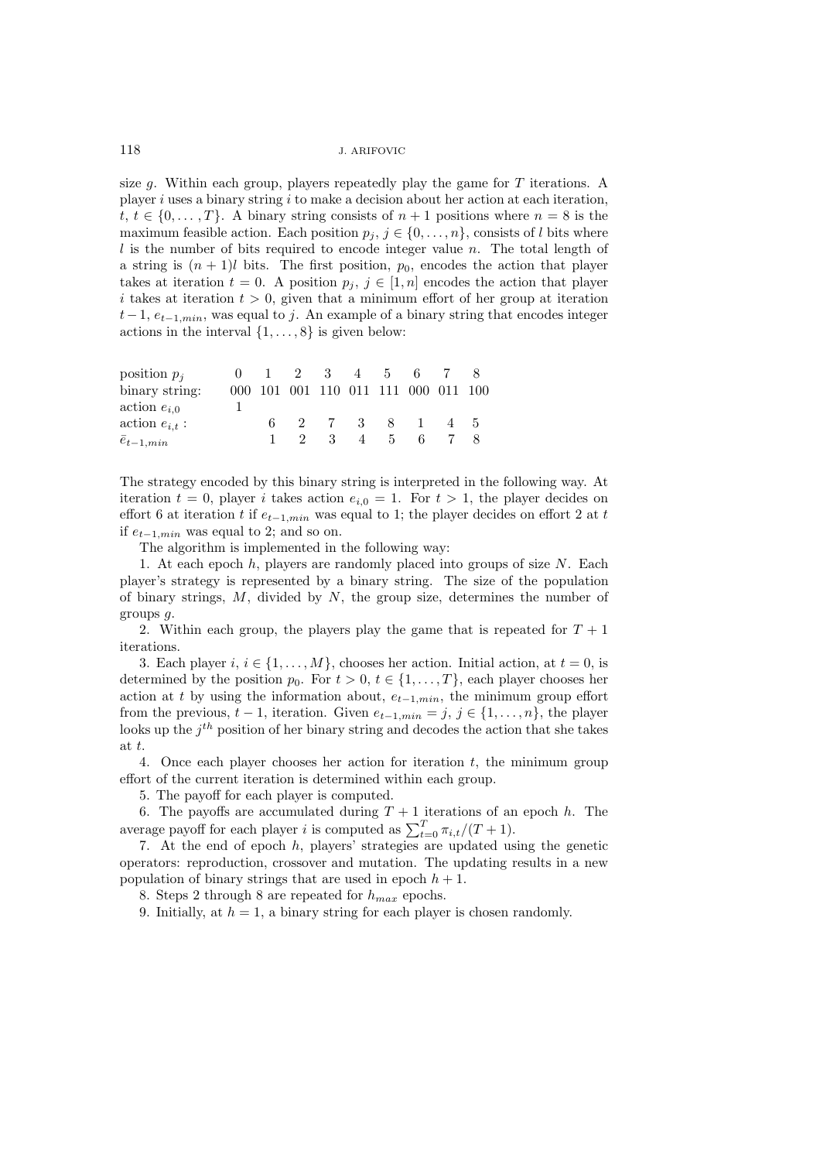size  $g$ . Within each group, players repeatedly play the game for  $T$  iterations. A player i uses a binary string i to make a decision about her action at each iteration, t,  $t \in \{0, \ldots, T\}$ . A binary string consists of  $n + 1$  positions where  $n = 8$  is the maximum feasible action. Each position  $p_j, j \in \{0, \ldots, n\}$ , consists of l bits where  $l$  is the number of bits required to encode integer value n. The total length of a string is  $(n + 1)l$  bits. The first position,  $p_0$ , encodes the action that player takes at iteration  $t = 0$ . A position  $p_i, j \in [1, n]$  encodes the action that player i takes at iteration  $t > 0$ , given that a minimum effort of her group at iteration  $t-1, e_{t-1,min}$ , was equal to j. An example of a binary string that encodes integer actions in the interval  $\{1,\ldots,8\}$  is given below:

| position $p_i$      |    | $1 \t 2 \t 3$                       |           |                | 4 5 | 67 |     |  |
|---------------------|----|-------------------------------------|-----------|----------------|-----|----|-----|--|
| binary string:      |    | 000 101 001 110 011 111 000 011 100 |           |                |     |    |     |  |
| $\arctan e_{i,0}$   |    |                                     |           |                |     |    |     |  |
| action $e_{i,t}$ :  | 6. |                                     | 2 7 3 8 1 |                |     |    | 4 5 |  |
| $\bar{e}_{t-1,min}$ |    | $\overline{2}$                      | - 3       | $\overline{4}$ | 5.  | 6. |     |  |
|                     |    |                                     |           |                |     |    |     |  |

The strategy encoded by this binary string is interpreted in the following way. At iteration  $t = 0$ , player *i* takes action  $e_{i,0} = 1$ . For  $t > 1$ , the player decides on effort 6 at iteration  $t$  if  $e_{t-1,min}$  was equal to 1; the player decides on effort 2 at  $t$ if  $e_{t-1,min}$  was equal to 2; and so on.

The algorithm is implemented in the following way:

1. At each epoch  $h$ , players are randomly placed into groups of size  $N$ . Each player's strategy is represented by a binary string. The size of the population of binary strings,  $M$ , divided by  $N$ , the group size, determines the number of groups g.

2. Within each group, the players play the game that is repeated for  $T+1$ iterations.

3. Each player  $i, i \in \{1, \ldots, M\}$ , chooses her action. Initial action, at  $t = 0$ , is determined by the position  $p_0$ . For  $t > 0$ ,  $t \in \{1, ..., T\}$ , each player chooses her action at t by using the information about,  $e_{t-1,min}$ , the minimum group effort from the previous,  $t - 1$ , iteration. Given  $e_{t-1,min} = j, j \in \{1, ..., n\}$ , the player looks up the  $j<sup>th</sup>$  position of her binary string and decodes the action that she takes at t.

4. Once each player chooses her action for iteration  $t$ , the minimum group effort of the current iteration is determined within each group.

5. The payoff for each player is computed.

6. The payoffs are accumulated during  $T + 1$  iterations of an epoch h. The rate payoff for each player is computed as  $\sum_{i=1}^{T} \pi_{i,i}/(T+1)$ average payoff for each player *i* is computed as  $\sum_{t=0}^{T} \pi_{i,t}/(T+1)$ .<br>  $\frac{1}{T+1}$ .

7. At the end of epoch h, players' strategies are updated using the genetic operators: reproduction, crossover and mutation. The updating results in a new population of binary strings that are used in epoch  $h + 1$ .

8. Steps 2 through 8 are repeated for  $h_{max}$  epochs.

9. Initially, at  $h = 1$ , a binary string for each player is chosen randomly.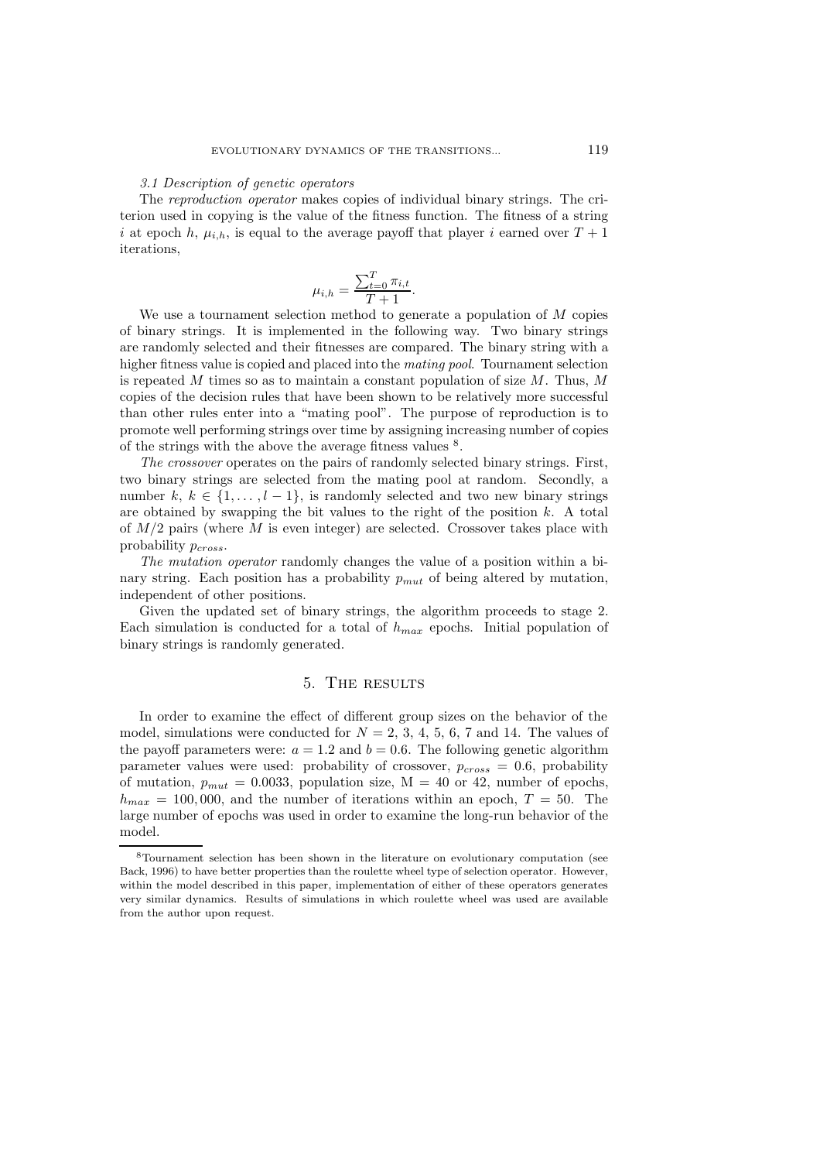#### *3.1 Description of genetic operators*

The *reproduction operator* makes copies of individual binary strings. The criterion used in copying is the value of the fitness function. The fitness of a string i at epoch h,  $\mu_{i,h}$ , is equal to the average payoff that player i earned over  $T + 1$ iterations,

$$
\mu_{i,h} = \frac{\sum_{t=0}^{T} \pi_{i,t}}{T+1}.
$$
on method to ger

We use a tournament selection method to generate a population of  $M$  copies<br>binary strings. It is implemented in the following way. Two binary strings of binary strings. It is implemented in the following way. Two binary strings are randomly selected and their fitnesses are compared. The binary string with a higher fitness value is copied and placed into the *mating pool*. Tournament selection is repeated  $M$  times so as to maintain a constant population of size  $M$ . Thus,  $M$ copies of the decision rules that have been shown to be relatively more successful than other rules enter into a "mating pool". The purpose of reproduction is to promote well performing strings over time by assigning increasing number of copies of the strings with the above the average fitness values  $^8.$ 

*The crossover* operates on the pairs of randomly selected binary strings. First, two binary strings are selected from the mating pool at random. Secondly, a number  $k, k \in \{1, ..., l-1\}$ , is randomly selected and two new binary strings are obtained by swapping the bit values to the right of the position  $k$ . A total of  $M/2$  pairs (where M is even integer) are selected. Crossover takes place with probability  $p_{cross}$ .

*The mutation operator* randomly changes the value of a position within a binary string. Each position has a probability  $p_{mut}$  of being altered by mutation, independent of other positions.

Given the updated set of binary strings, the algorithm proceeds to stage 2. Each simulation is conducted for a total of  $h_{max}$  epochs. Initial population of binary strings is randomly generated.

#### 5. The results

In order to examine the effect of different group sizes on the behavior of the model, simulations were conducted for  $N = 2, 3, 4, 5, 6, 7$  and 14. The values of the payoff parameters were:  $a = 1.2$  and  $b = 0.6$ . The following genetic algorithm parameter values were used: probability of crossover,  $p_{cross} = 0.6$ , probability of mutation,  $p_{mut} = 0.0033$ , population size,  $M = 40$  or 42, number of epochs,  $h_{max} = 100,000$ , and the number of iterations within an epoch,  $T = 50$ . The large number of epochs was used in order to examine the long-run behavior of the model.

<sup>8</sup>Tournament selection has been shown in the literature on evolutionary computation (see Back, 1996) to have better properties than the roulette wheel type of selection operator. However, within the model described in this paper, implementation of either of these operators generates very similar dynamics. Results of simulations in which roulette wheel was used are available from the author upon request.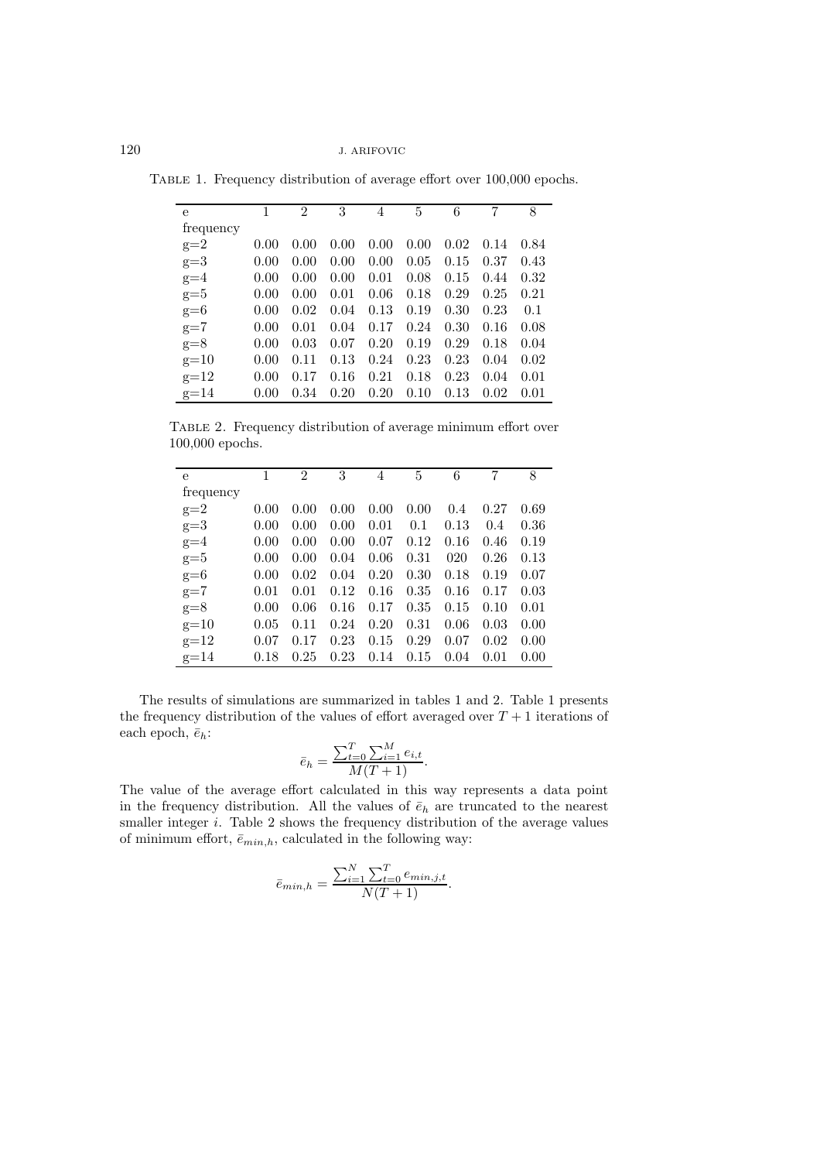Table 1. Frequency distribution of average effort over 100,000 epochs.

| e         | 1    | $\mathcal{D}_{\mathcal{L}}$ | 3    | 4    | 5    | 6    | 7    | 8    |
|-----------|------|-----------------------------|------|------|------|------|------|------|
| frequency |      |                             |      |      |      |      |      |      |
| $g=2$     | 0.00 | 0.00                        | 0.00 | 0.00 | 0.00 | 0.02 | 0.14 | 0.84 |
| $g=3$     | 0.00 | 0.00                        | 0.00 | 0.00 | 0.05 | 0.15 | 0.37 | 0.43 |
| $g=4$     | 0.00 | 0.00                        | 0.00 | 0.01 | 0.08 | 0.15 | 0.44 | 0.32 |
| $g=5$     | 0.00 | 0.00                        | 0.01 | 0.06 | 0.18 | 0.29 | 0.25 | 0.21 |
| $g=6$     | 0.00 | 0.02                        | 0.04 | 0.13 | 0.19 | 0.30 | 0.23 | 0.1  |
| $g=7$     | 0.00 | 0.01                        | 0.04 | 0.17 | 0.24 | 0.30 | 0.16 | 0.08 |
| $g=8$     | 0.00 | 0.03                        | 0.07 | 0.20 | 0.19 | 0.29 | 0.18 | 0.04 |
| $g=10$    | 0.00 | 0.11                        | 0.13 | 0.24 | 0.23 | 0.23 | 0.04 | 0.02 |
| $g=12$    | 0.00 | 0.17                        | 0.16 | 0.21 | 0.18 | 0.23 | 0.04 | 0.01 |
| $g=14$    | 0.00 | 0.34                        | 0.20 | 0.20 | 0.10 | 0.13 | 0.02 | 0.01 |

Table 2. Frequency distribution of average minimum effort over 100,000 epochs.

| e         | 1    | $\mathfrak{D}$ | 3    | 4    | 5    | 6    | 7    | 8    |
|-----------|------|----------------|------|------|------|------|------|------|
| frequency |      |                |      |      |      |      |      |      |
| $g=2$     | 0.00 | 0.00           | 0.00 | 0.00 | 0.00 | 0.4  | 0.27 | 0.69 |
| $g=3$     | 0.00 | 0.00           | 0.00 | 0.01 | 0.1  | 0.13 | 0.4  | 0.36 |
| $g=4$     | 0.00 | 0.00           | 0.00 | 0.07 | 0.12 | 0.16 | 0.46 | 0.19 |
| $g=5$     | 0.00 | 0.00           | 0.04 | 0.06 | 0.31 | 020  | 0.26 | 0.13 |
| $g=6$     | 0.00 | 0.02           | 0.04 | 0.20 | 0.30 | 0.18 | 0.19 | 0.07 |
| $g=7$     | 0.01 | 0.01           | 0.12 | 0.16 | 0.35 | 0.16 | 0.17 | 0.03 |
| $g=8$     | 0.00 | 0.06           | 0.16 | 0.17 | 0.35 | 0.15 | 0.10 | 0.01 |
| $g=10$    | 0.05 | 0.11           | 0.24 | 0.20 | 0.31 | 0.06 | 0.03 | 0.00 |
| $g=12$    | 0.07 | 0.17           | 0.23 | 0.15 | 0.29 | 0.07 | 0.02 | 0.00 |
| $g=14$    | 0.18 | 0.25           | 0.23 | 0.14 | 0.15 | 0.04 | 0.01 | 0.00 |

The results of simulations are summarized in tables 1 and 2. Table 1 presents the frequency distribution of the values of effort averaged over  $T + 1$  iterations of each epoch,  $\bar{e}_h$ :

$$
\bar{e}_h = \frac{\sum_{t=0}^{T} \sum_{i=1}^{M} e_{i,t}}{M(T+1)}
$$

The value of the average effort calculated in this way represents a data point in the frequency distribution. All the values of  $\bar{e}_h$  are truncated to the nearest smaller integer  $i$ . Table 2 shows the frequency distribution of the average values of minimum effort,  $\bar{e}_{min,h}$ , calculated in the following way:

$$
\bar{e}_{min,h} = \frac{\sum_{i=1}^{N} \sum_{t=0}^{T} e_{min,j,t}}{N(T+1)}.
$$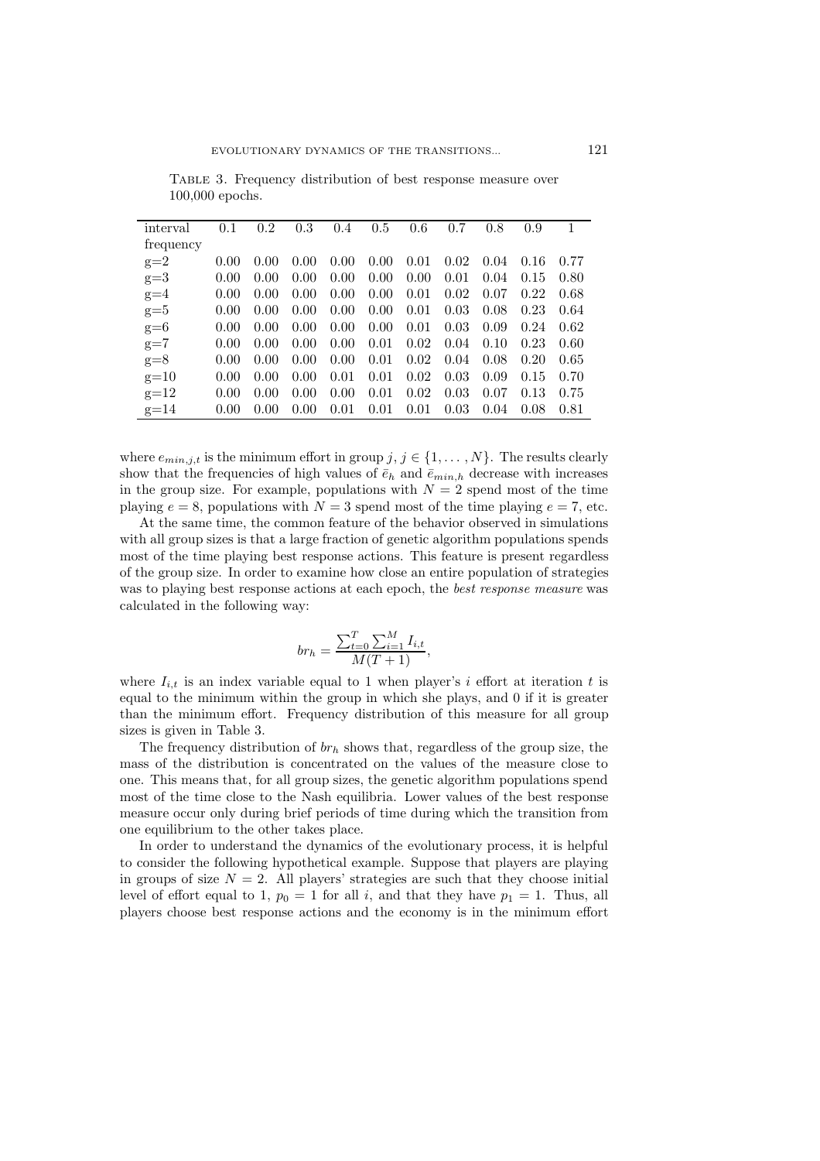| interval  | 0.1  | 0.2  | 0.3  | 0.4  | 0.5  | 0.6  | 0.7  | 0.8  | 0.9  |      |
|-----------|------|------|------|------|------|------|------|------|------|------|
| frequency |      |      |      |      |      |      |      |      |      |      |
| $g=2$     | 0.00 | 0.00 | 0.00 | 0.00 | 0.00 | 0.01 | 0.02 | 0.04 | 0.16 | 0.77 |
| $g=3$     | 0.00 | 0.00 | 0.00 | 0.00 | 0.00 | 0.00 | 0.01 | 0.04 | 0.15 | 0.80 |
| $g=4$     | 0.00 | 0.00 | 0.00 | 0.00 | 0.00 | 0.01 | 0.02 | 0.07 | 0.22 | 0.68 |
| $g=5$     | 0.00 | 0.00 | 0.00 | 0.00 | 0.00 | 0.01 | 0.03 | 0.08 | 0.23 | 0.64 |
| $g=6$     | 0.00 | 0.00 | 0.00 | 0.00 | 0.00 | 0.01 | 0.03 | 0.09 | 0.24 | 0.62 |
| $g=7$     | 0.00 | 0.00 | 0.00 | 0.00 | 0.01 | 0.02 | 0.04 | 0.10 | 0.23 | 0.60 |
| $g=8$     | 0.00 | 0.00 | 0.00 | 0.00 | 0.01 | 0.02 | 0.04 | 0.08 | 0.20 | 0.65 |
| $g=10$    | 0.00 | 0.00 | 0.00 | 0.01 | 0.01 | 0.02 | 0.03 | 0.09 | 0.15 | 0.70 |
| $g=12$    | 0.00 | 0.00 | 0.00 | 0.00 | 0.01 | 0.02 | 0.03 | 0.07 | 0.13 | 0.75 |
| $g=14$    | 0.00 | 0.00 | 0.00 | 0.01 | 0.01 | 0.01 | 0.03 | 0.04 | 0.08 | 0.81 |

TABLE 3. Frequency distribution of best response measure over 100,000 epochs.

where  $e_{min,j,t}$  is the minimum effort in group  $j, j \in \{1, ..., N\}$ . The results clearly show that the frequencies of high values of  $\bar{e}_h$  and  $\bar{e}_{min,h}$  decrease with increases in the group size. For example, populations with  $N = 2$  spend most of the time playing  $e = 8$ , populations with  $N = 3$  spend most of the time playing  $e = 7$ , etc.

At the same time, the common feature of the behavior observed in simulations with all group sizes is that a large fraction of genetic algorithm populations spends most of the time playing best response actions. This feature is present regardless of the group size. In order to examine how close an entire population of strategies was to playing best response actions at each epoch, the *best response measure* was calculated in the following way:

$$
br_h = \frac{\sum_{t=0}^{T} \sum_{i=1}^{M} I_{i,t}}{M(T+1)},
$$

where  $I_{i,t}$  is an index variable equal to 1 when player's i effort at iteration t is<br>equal to the minimum within the group in which she plays, and 0 if it is greater equal to the minimum within the group in which she plays, and 0 if it is greater than the minimum effort. Frequency distribution of this measure for all group sizes is given in Table 3.

The frequency distribution of  $br<sub>h</sub>$  shows that, regardless of the group size, the mass of the distribution is concentrated on the values of the measure close to one. This means that, for all group sizes, the genetic algorithm populations spend most of the time close to the Nash equilibria. Lower values of the best response measure occur only during brief periods of time during which the transition from one equilibrium to the other takes place.

In order to understand the dynamics of the evolutionary process, it is helpful to consider the following hypothetical example. Suppose that players are playing in groups of size  $N = 2$ . All players' strategies are such that they choose initial level of effort equal to 1,  $p_0 = 1$  for all i, and that they have  $p_1 = 1$ . Thus, all players choose best response actions and the economy is in the minimum effort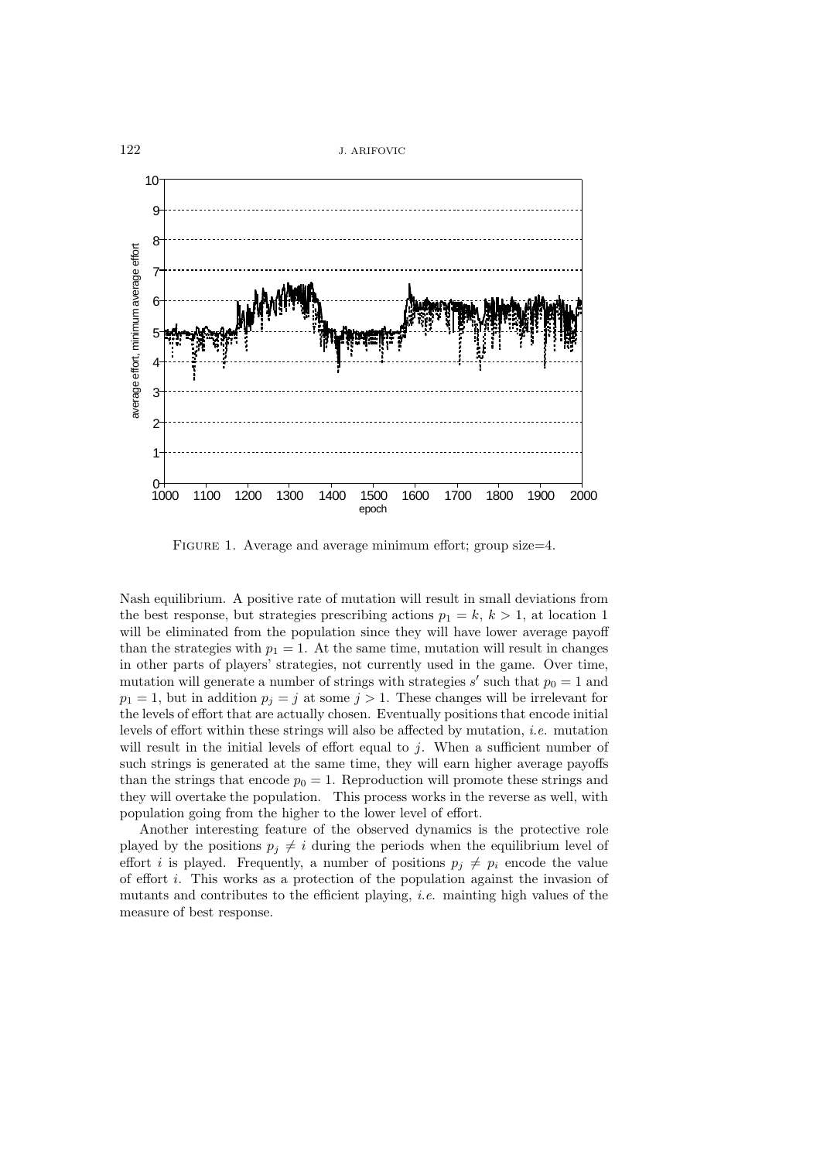

FIGURE 1. Average and average minimum effort; group size=4.

Nash equilibrium. A positive rate of mutation will result in small deviations from the best response, but strategies prescribing actions  $p_1 = k, k > 1$ , at location 1 will be eliminated from the population since they will have lower average payoff than the strategies with  $p_1 = 1$ . At the same time, mutation will result in changes in other parts of players' strategies, not currently used in the game. Over time, mutation will generate a number of strings with strategies s' such that  $p_0 = 1$  and  $p_1 = 1$ , but in addition  $p_i = j$  at some  $j > 1$ . These changes will be irrelevant for the levels of effort that are actually chosen. Eventually positions that encode initial levels of effort within these strings will also be affected by mutation, *i.e.* mutation will result in the initial levels of effort equal to  $j$ . When a sufficient number of such strings is generated at the same time, they will earn higher average payoffs than the strings that encode  $p_0 = 1$ . Reproduction will promote these strings and they will overtake the population. This process works in the reverse as well, with population going from the higher to the lower level of effort.

Another interesting feature of the observed dynamics is the protective role played by the positions  $p_j \neq i$  during the periods when the equilibrium level of effort *i* is played. Frequently, a number of positions  $p_j \neq p_i$  encode the value of effort i. This works as a protection of the population against the invasion of mutants and contributes to the efficient playing, *i.e.* mainting high values of the measure of best response.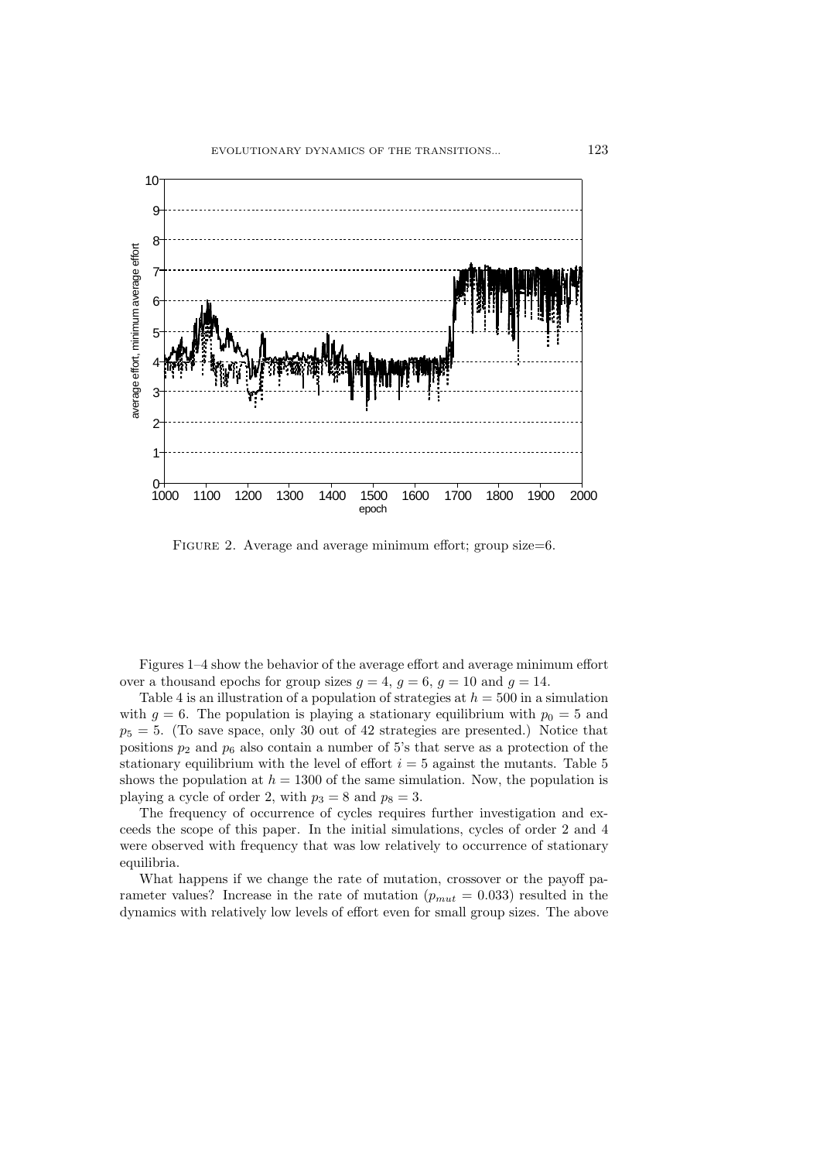

FIGURE 2. Average and average minimum effort; group size=6.

Figures 1–4 show the behavior of the average effort and average minimum effort over a thousand epochs for group sizes  $g = 4$ ,  $g = 6$ ,  $g = 10$  and  $g = 14$ .

Table 4 is an illustration of a population of strategies at  $h = 500$  in a simulation with  $g = 6$ . The population is playing a stationary equilibrium with  $p_0 = 5$  and  $p_5 = 5$ . (To save space, only 30 out of 42 strategies are presented.) Notice that positions  $p_2$  and  $p_6$  also contain a number of 5's that serve as a protection of the stationary equilibrium with the level of effort  $i = 5$  against the mutants. Table 5 shows the population at  $h = 1300$  of the same simulation. Now, the population is playing a cycle of order 2, with  $p_3 = 8$  and  $p_8 = 3$ .

The frequency of occurrence of cycles requires further investigation and exceeds the scope of this paper. In the initial simulations, cycles of order 2 and 4 were observed with frequency that was low relatively to occurrence of stationary equilibria.

What happens if we change the rate of mutation, crossover or the payoff parameter values? Increase in the rate of mutation  $(p_{mut} = 0.033)$  resulted in the dynamics with relatively low levels of effort even for small group sizes. The above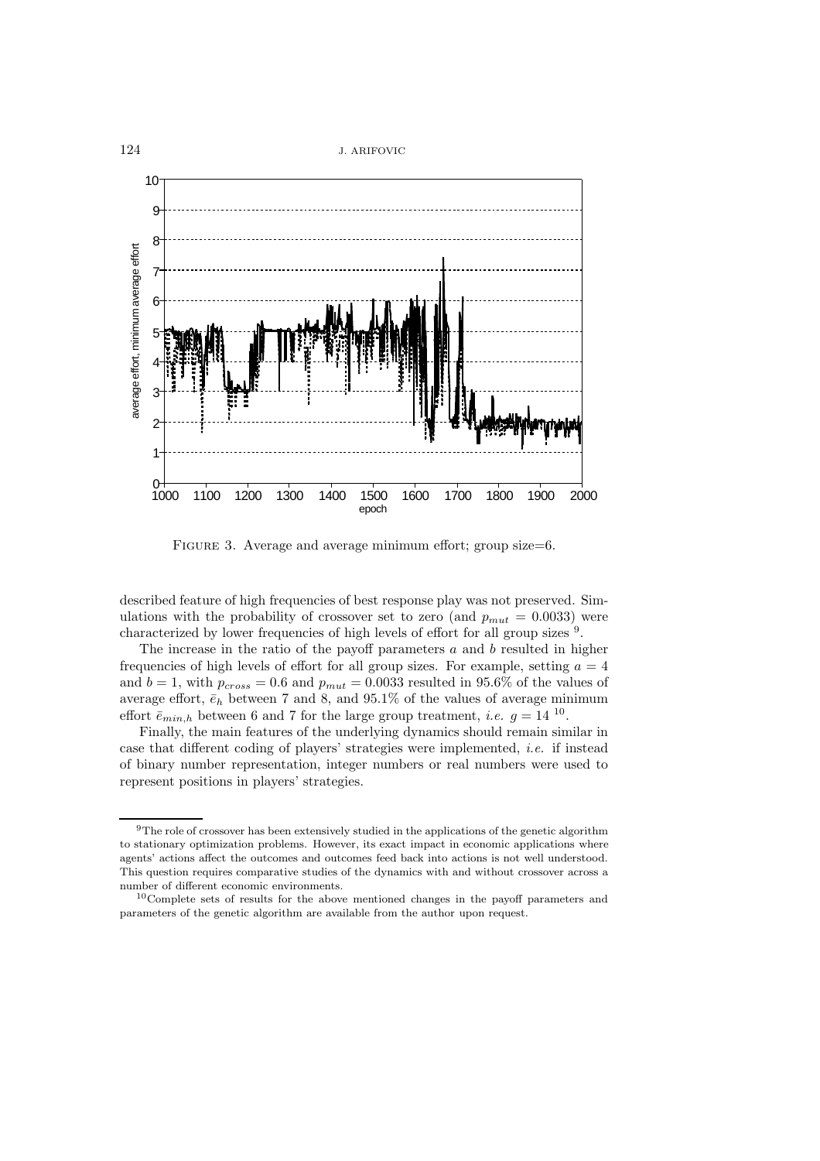

FIGURE 3. Average and average minimum effort; group size=6.

described feature of high frequencies of best response play was not preserved. Simulations with the probability of crossover set to zero (and  $p_{mut} = 0.0033$ ) were characterized by lower frequencies of high levels of effort for all group sizes <sup>9</sup>.

The increase in the ratio of the payoff parameters  $a$  and  $b$  resulted in higher frequencies of high levels of effort for all group sizes. For example, setting  $a = 4$ and  $b = 1$ , with  $p_{cross} = 0.6$  and  $p_{mut} = 0.0033$  resulted in 95.6% of the values of average effort,  $\bar{e}_h$  between 7 and 8, and 95.1% of the values of average minimum effort  $\bar{e}_{min,h}$  between 6 and 7 for the large group treatment, *i.e.*  $q = 14^{10}$ .

Finally, the main features of the underlying dynamics should remain similar in case that different coding of players' strategies were implemented, *i.e.* if instead of binary number representation, integer numbers or real numbers were used to represent positions in players' strategies.

 $^9\mathrm{The}$  role of crossover has been extensively studied in the applications of the genetic algorithm to stationary optimization problems. However, its exact impact in economic applications where agents' actions affect the outcomes and outcomes feed back into actions is not well understood. This question requires comparative studies of the dynamics with and without crossover across a number of different economic environments.

<sup>10</sup>Complete sets of results for the above mentioned changes in the payoff parameters and parameters of the genetic algorithm are available from the author upon request.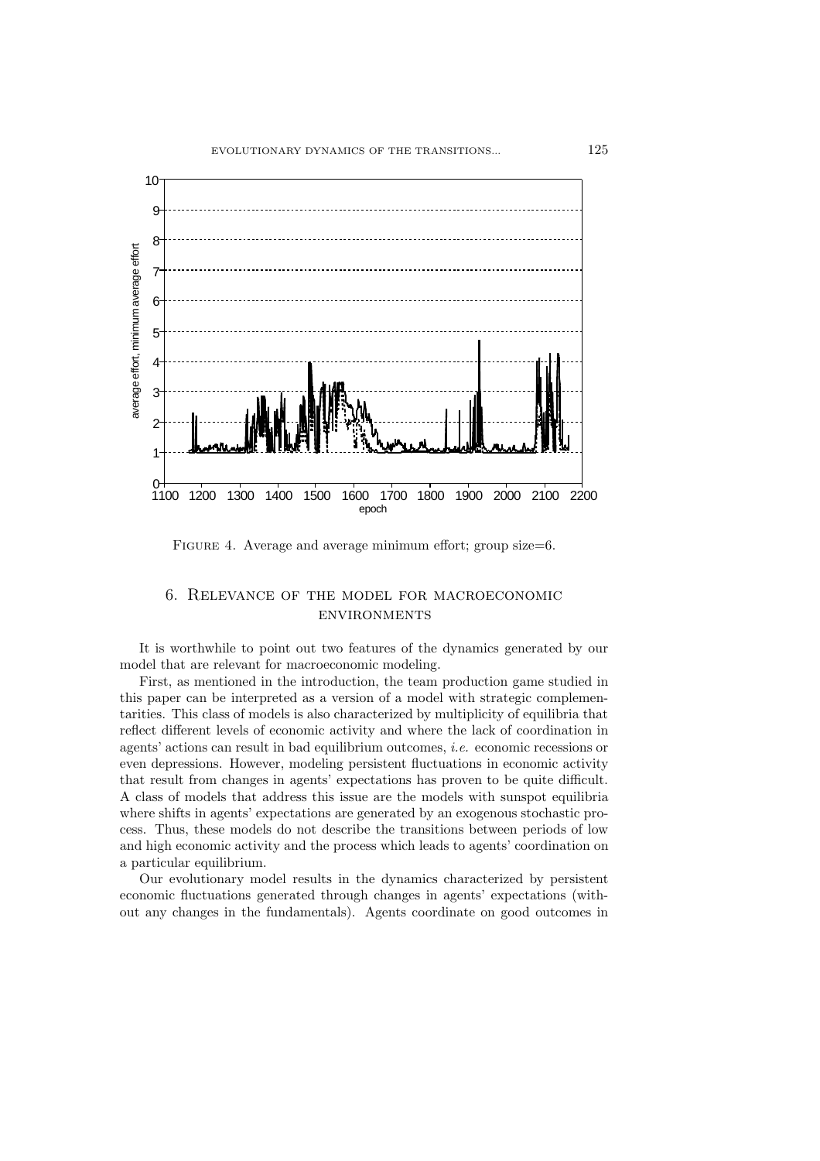

FIGURE 4. Average and average minimum effort; group size=6.

## 6. Relevance of the model for macroeconomic environments

It is worthwhile to point out two features of the dynamics generated by our model that are relevant for macroeconomic modeling.

First, as mentioned in the introduction, the team production game studied in this paper can be interpreted as a version of a model with strategic complementarities. This class of models is also characterized by multiplicity of equilibria that reflect different levels of economic activity and where the lack of coordination in agents' actions can result in bad equilibrium outcomes, *i.e.* economic recessions or even depressions. However, modeling persistent fluctuations in economic activity that result from changes in agents' expectations has proven to be quite difficult. A class of models that address this issue are the models with sunspot equilibria where shifts in agents' expectations are generated by an exogenous stochastic process. Thus, these models do not describe the transitions between periods of low and high economic activity and the process which leads to agents' coordination on a particular equilibrium.

Our evolutionary model results in the dynamics characterized by persistent economic fluctuations generated through changes in agents' expectations (without any changes in the fundamentals). Agents coordinate on good outcomes in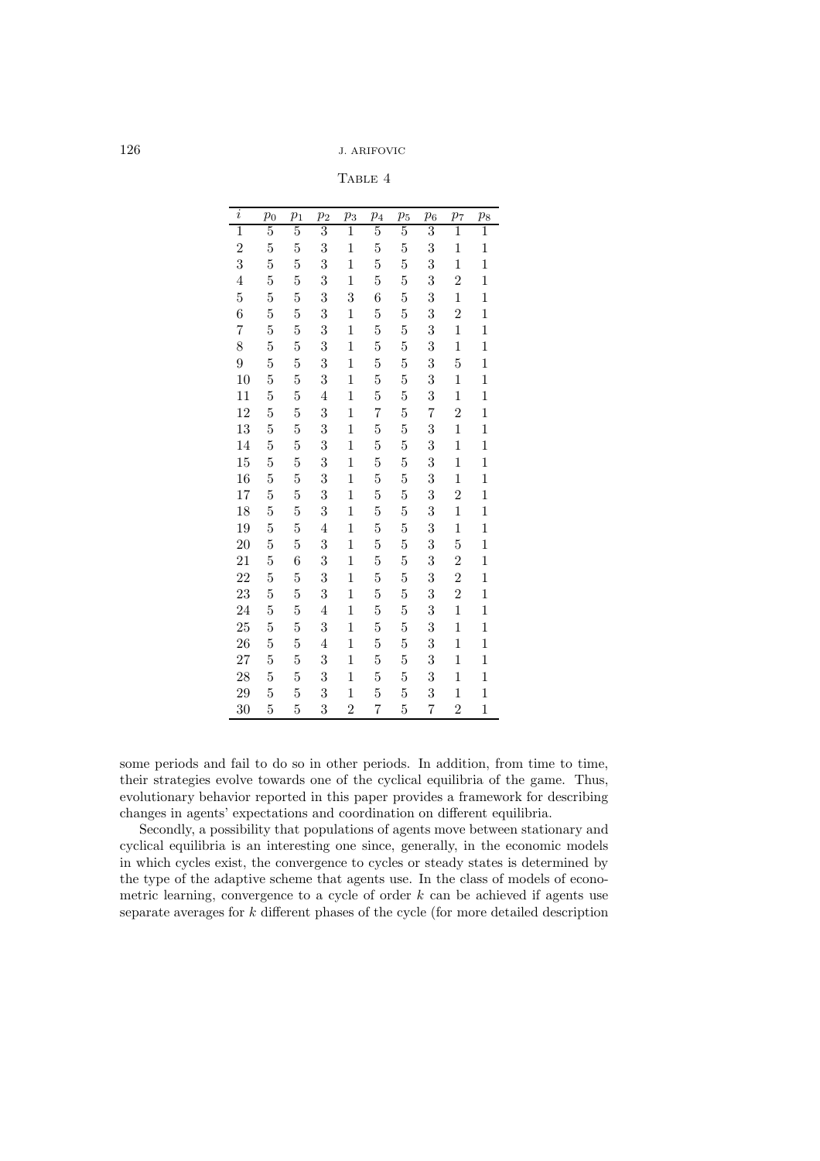TABLE 4

| $\it i$        | $p_0$          | $p_1$          | $\overline{p}_2$        | $p_3$          | $\overline{p}_4$ | $p_5$          | $\overline{p}_6$ | $p_7$          | $\overline{p_8}$ |
|----------------|----------------|----------------|-------------------------|----------------|------------------|----------------|------------------|----------------|------------------|
| $\overline{1}$ | $\overline{5}$ | $\overline{5}$ | 3                       | $\overline{1}$ | $\overline{5}$   | $\overline{5}$ | $\overline{3}$   | $\overline{1}$ | $\overline{1}$   |
| $\overline{2}$ | $\overline{5}$ | $\overline{5}$ | 3                       | 1              | $\overline{5}$   | $\overline{5}$ | 3                | $\mathbf{1}$   | $\mathbf 1$      |
| 3              | 5              | $\overline{5}$ | 3                       | $\mathbf{1}$   | $\overline{5}$   | $\overline{5}$ | 3                | $\mathbf{1}$   | $\mathbf{1}$     |
| $\overline{4}$ | $\overline{5}$ | $\overline{5}$ | 3                       | $\mathbf{1}$   | $\overline{5}$   | $\overline{5}$ | 3                | $\overline{2}$ | $\mathbf 1$      |
| $\overline{5}$ | $\overline{5}$ | $\overline{5}$ | 3                       | 3              | 6                | $\overline{5}$ | 3                | $\mathbf{1}$   | $\mathbf{1}$     |
| 6              | $\overline{5}$ | $\overline{5}$ | 3                       | $\mathbf 1$    | $\overline{5}$   | $\overline{5}$ | 3                | $\overline{2}$ | $\mathbf 1$      |
| $\overline{7}$ | $\overline{5}$ | $\overline{5}$ | 3                       | $\mathbf{1}$   | $\overline{5}$   | $\overline{5}$ | 3                | $\mathbf{1}$   | $\mathbf{1}$     |
| 8              | $\overline{5}$ | 5              | 3                       | $\mathbf{1}$   | $\overline{5}$   | $\overline{5}$ | 3                | $\mathbf{1}$   | $\mathbf{1}$     |
| 9              | $\overline{5}$ | $\overline{5}$ | 3                       | $\mathbf 1$    | $\overline{5}$   | $\overline{5}$ | 3                | $\overline{5}$ | $\mathbf 1$      |
| 10             | $\overline{5}$ | $\overline{5}$ | $\overline{\mathbf{3}}$ | $\mathbf 1$    | $\overline{5}$   | $\overline{5}$ | 3                | $\mathbf{1}$   | $\mathbf{1}$     |
| 11             | $\overline{5}$ | $\overline{5}$ | $\overline{4}$          | $\mathbf 1$    | $\overline{5}$   | $\overline{5}$ | 3                | $\mathbf{1}$   | $\mathbf{1}$     |
| 12             | $\overline{5}$ | $\overline{5}$ | 3                       | $\mathbf{1}$   | $\overline{7}$   | $\overline{5}$ | $\overline{7}$   | $\overline{2}$ | $\mathbf{1}$     |
| 13             | $\overline{5}$ | $\overline{5}$ | 3                       | $\mathbf 1$    | $\overline{5}$   | $\overline{5}$ | 3                | $\mathbf{1}$   | $\mathbf{1}$     |
| 14             | $\overline{5}$ | $\overline{5}$ | 3                       | $\mathbf{1}$   | $\overline{5}$   | $\overline{5}$ | 3                | $\mathbf{1}$   | $\mathbf 1$      |
| 15             | 5              | $\overline{5}$ | 3                       | $\mathbf 1$    | $\overline{5}$   | $\overline{5}$ | 3                | $\mathbf{1}$   | $\mathbf 1$      |
| 16             | $\overline{5}$ | $\overline{5}$ | $\overline{3}$          | $\mathbf 1$    | $\overline{5}$   | 5              | 3                | $\mathbf{1}$   | $\mathbf{1}$     |
| 17             | $\overline{5}$ | $\overline{5}$ | $\boldsymbol{3}$        | $\mathbf 1$    | $\overline{5}$   | $\overline{5}$ | 3                | $\overline{2}$ | $\mathbf{1}$     |
| 18             | 5              | $\overline{5}$ | 3                       | $\mathbf 1$    | $\overline{5}$   | $\overline{5}$ | 3                | $\mathbf{1}$   | $\mathbf 1$      |
| 19             | $\overline{5}$ | $\overline{5}$ | $\overline{4}$          | $\mathbf{1}$   | $\overline{5}$   | $\overline{5}$ | 3                | $\mathbf{1}$   | $\overline{1}$   |
| 20             | $\overline{5}$ | 5              | $\overline{3}$          | $\mathbf 1$    | $\overline{5}$   | $\overline{5}$ | 3                | 5              | $\mathbf 1$      |
| 21             | $\overline{5}$ | 6              | $\overline{3}$          | $\mathbf 1$    | $\overline{5}$   | $\overline{5}$ | 3                | $\overline{2}$ | $\mathbf 1$      |
| 22             | $\overline{5}$ | $\overline{5}$ | $\overline{\mathbf{3}}$ | $\mathbf{1}$   | $\overline{5}$   | $\overline{5}$ | 3                | $\overline{2}$ | $\mathbf{1}$     |
| 23             | $\overline{5}$ | $\overline{5}$ | 3                       | $\mathbf{1}$   | $\overline{5}$   | $\overline{5}$ | 3                | $\overline{2}$ | $\mathbf{1}$     |
| 24             | $\overline{5}$ | $\overline{5}$ | $\overline{4}$          | $\mathbf{1}$   | $\overline{5}$   | $\overline{5}$ | 3                | $\mathbf{1}$   | $\mathbf{1}$     |
| 25             | $\overline{5}$ | $\overline{5}$ | 3                       | $\mathbf 1$    | $\overline{5}$   | $\overline{5}$ | 3                | $\mathbf{1}$   | $\mathbf{1}$     |
| 26             | $\overline{5}$ | $\overline{5}$ | $\overline{4}$          | $\mathbf 1$    | $\overline{5}$   | 5              | 3                | $\mathbf{1}$   | $\mathbf{1}$     |
| 27             | $\overline{5}$ | $\overline{5}$ | 3                       | $\mathbf 1$    | $\overline{5}$   | $\overline{5}$ | 3                | $\mathbf{1}$   | $\mathbf{1}$     |
| 28             | $\overline{5}$ | $\overline{5}$ | 3                       | 1              | $\overline{5}$   | 5              | 3                | $\mathbf{1}$   | $\mathbf{1}$     |
| 29             | 5              | $\overline{5}$ | 3                       | $\mathbf{1}$   | $\overline{5}$   | $\overline{5}$ | 3                | $\mathbf{1}$   | $\mathbf{1}$     |
| 30             | 5              | 5              | 3                       | $\overline{2}$ | 7                | 5              | 7                | $\overline{2}$ | $\mathbf{1}$     |

some periods and fail to do so in other periods. In addition, from time to time, their strategies evolve towards one of the cyclical equilibria of the game. Thus, evolutionary behavior reported in this paper provides a framework for describing changes in agents' expectations and coordination on different equilibria.

Secondly, a possibility that populations of agents move between stationary and cyclical equilibria is an interesting one since, generally, in the economic models in which cycles exist, the convergence to cycles or steady states is determined by the type of the adaptive scheme that agents use. In the class of models of econometric learning, convergence to a cycle of order  $k$  can be achieved if agents use separate averages for k different phases of the cycle (for more detailed description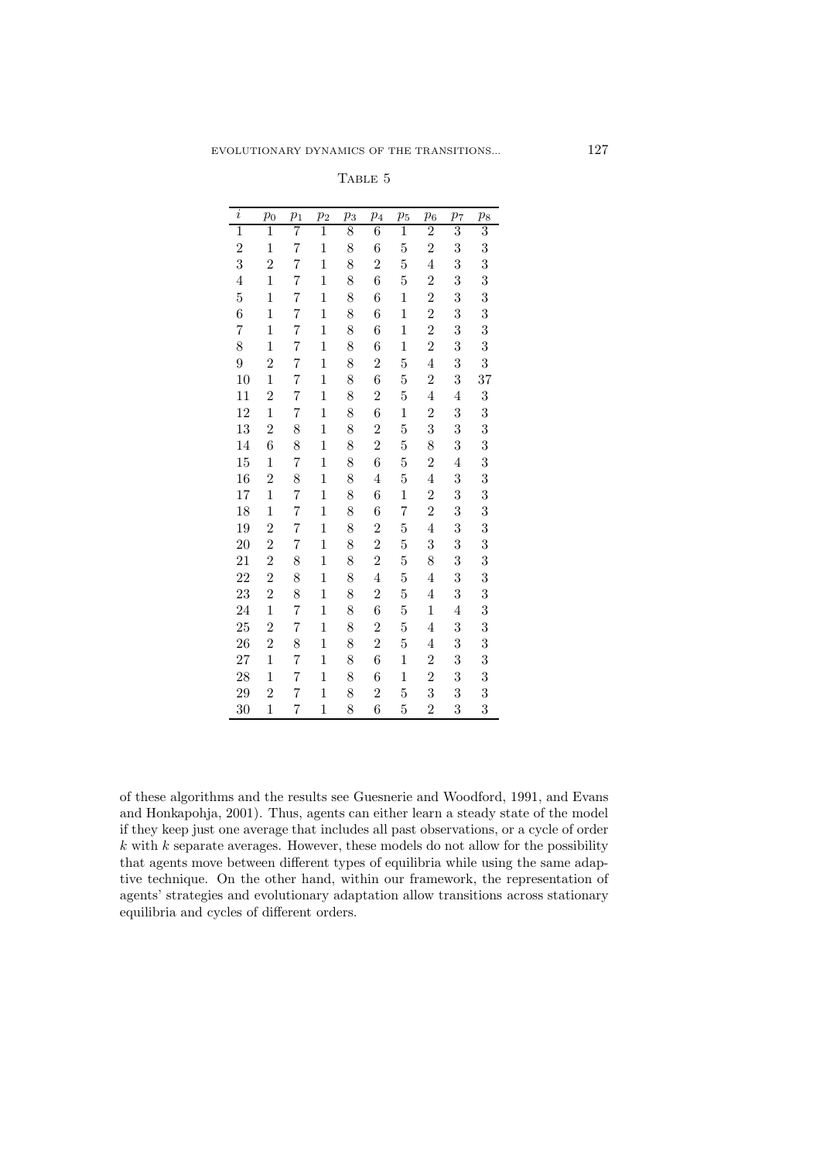| $\overline{i}$ | $p_0$          | $p_1$ | p <sub>2</sub> | $p_3$ | $p_4$          | $p_5$          | $\,p_6$        | p <sub>7</sub> | $p_8$          |
|----------------|----------------|-------|----------------|-------|----------------|----------------|----------------|----------------|----------------|
| $\overline{1}$ | $\overline{1}$ | 7     | $\overline{1}$ | 8     | $\overline{6}$ | $\overline{1}$ | $\overline{2}$ | $\overline{3}$ | $\overline{3}$ |
| $\overline{2}$ | $\mathbf{1}$   | 7     | $\mathbf{1}$   | 8     | 6              | 5              | $\overline{2}$ | 3              | 3              |
| 3              | $\overline{2}$ | 7     | $\mathbf{1}$   | 8     | $\overline{2}$ | 5              | $\overline{4}$ | 3              | 3              |
| $\overline{4}$ | $\overline{1}$ | 7     | $\mathbf{1}$   | 8     | 6              | 5              | $\overline{2}$ | 3              | 3              |
| $\overline{5}$ | $\mathbf 1$    | 7     | $\mathbf{1}$   | 8     | 6              | 1              | $\overline{2}$ | 3              | 3              |
| 6              | $\mathbf{1}$   | 7     | $\mathbf{1}$   | 8     | 6              | $\mathbf{1}$   | $\overline{2}$ | 3              | 3              |
| 7              | $\mathbf 1$    | 7     | $\mathbf{1}$   | 8     | 6              | $\mathbf{1}$   | $\overline{2}$ | 3              | 3              |
| 8              | $\mathbf{1}$   | 7     | $\mathbf{1}$   | 8     | 6              | $\mathbf 1$    | $\overline{2}$ | 3              | 3              |
| 9              | $\overline{2}$ | 7     | $\mathbf{1}$   | 8     | $\overline{2}$ | $\overline{5}$ | $\overline{4}$ | 3              | 3              |
| 10             | $\overline{1}$ | 7     | $\mathbf{1}$   | 8     | 6              | $\overline{5}$ | $\overline{2}$ | 3              | 37             |
| 11             | $\overline{2}$ | 7     | $\mathbf{1}$   | 8     | $\overline{2}$ | $\overline{5}$ | $\overline{4}$ | $\overline{4}$ | 3              |
| 12             | $\mathbf{1}$   | 7     | $\mathbf{1}$   | 8     | 6              | $\mathbf 1$    | $\overline{2}$ | 3              | 3              |
| 13             | $\overline{2}$ | 8     | $\mathbf{1}$   | 8     | $\overline{2}$ | 5              | 3              | 3              | 3              |
| 14             | 6              | 8     | $\mathbf{1}$   | 8     | $\overline{2}$ | $\overline{5}$ | 8              | 3              | 3              |
| 15             | $\mathbf 1$    | 7     | $\mathbf{1}$   | 8     | 6              | $\overline{5}$ | $\overline{c}$ | $\overline{4}$ | 3              |
| 16             | $\overline{2}$ | 8     | $\mathbf{1}$   | 8     | $\overline{4}$ | $\overline{5}$ | $\overline{4}$ | 3              | 3              |
| 17             | $\mathbf 1$    | 7     | $\mathbf{1}$   | 8     | 6              | $\mathbf 1$    | $\overline{2}$ | 3              | 3              |
| 18             | $\mathbf{1}$   | 7     | $\mathbf{1}$   | 8     | 6              | $\overline{7}$ | $\overline{2}$ | 3              | 3              |
| 19             | $\overline{2}$ | 7     | $\mathbf{1}$   | 8     | $\overline{2}$ | $\overline{5}$ | $\overline{4}$ | 3              | 3              |
| 20             | $\overline{2}$ | 7     | $\mathbf{1}$   | 8     | $\overline{2}$ | $\overline{5}$ | 3              | 3              | 3              |
| 21             | $\overline{2}$ | 8     | $\mathbf{1}$   | 8     | $\overline{2}$ | $\overline{5}$ | 8              | 3              | 3              |
| 22             | $\overline{2}$ | 8     | $\mathbf{1}$   | 8     | $\overline{4}$ | 5              | $\overline{4}$ | 3              | 3              |
| 23             | $\overline{2}$ | 8     | $\mathbf{1}$   | 8     | $\overline{2}$ | $\overline{5}$ | $\overline{4}$ | 3              | 3              |
| 24             | $\mathbf{1}$   | 7     | $\mathbf{1}$   | 8     | 6              | $\overline{5}$ | $\mathbf{1}$   | $\overline{4}$ | 3              |
| 25             | $\overline{2}$ | 7     | $\mathbf{1}$   | 8     | $\overline{2}$ | $\overline{5}$ | $\overline{4}$ | 3              | 3              |
| 26             | $\overline{2}$ | 8     | $\mathbf{1}$   | 8     | $\overline{2}$ | $\overline{5}$ | $\overline{4}$ | 3              | 3              |
| 27             | $\overline{1}$ | 7     | $\mathbf{1}$   | 8     | 6              | $\mathbf 1$    | $\overline{2}$ | 3              | 3              |
| 28             | $\mathbf{1}$   | 7     | $\mathbf{1}$   | 8     | 6              | $\mathbf 1$    | $\overline{2}$ | 3              | 3              |
| 29             | $\overline{2}$ | 7     | $\mathbf{1}$   | 8     | $\overline{2}$ | $\overline{5}$ | 3              | 3              | 3              |
| 30             | $\overline{1}$ | 7     | 1              | 8     | 6              | 5              | $\overline{2}$ | 3              | 3              |

of these algorithms and the results see Guesnerie and Woodford, 1991, and Evans and Honkapohja, 2001). Thus, agents can either learn a steady state of the model if they keep just one average that includes all past observations, or a cycle of order  $k$  with  $k$  separate averages. However, these models do not allow for the possibility that agents move between different types of equilibria while using the same adaptive technique. On the other hand, within our framework, the representation of agents' strategies and evolutionary adaptation allow transitions across stationary equilibria and cycles of different orders.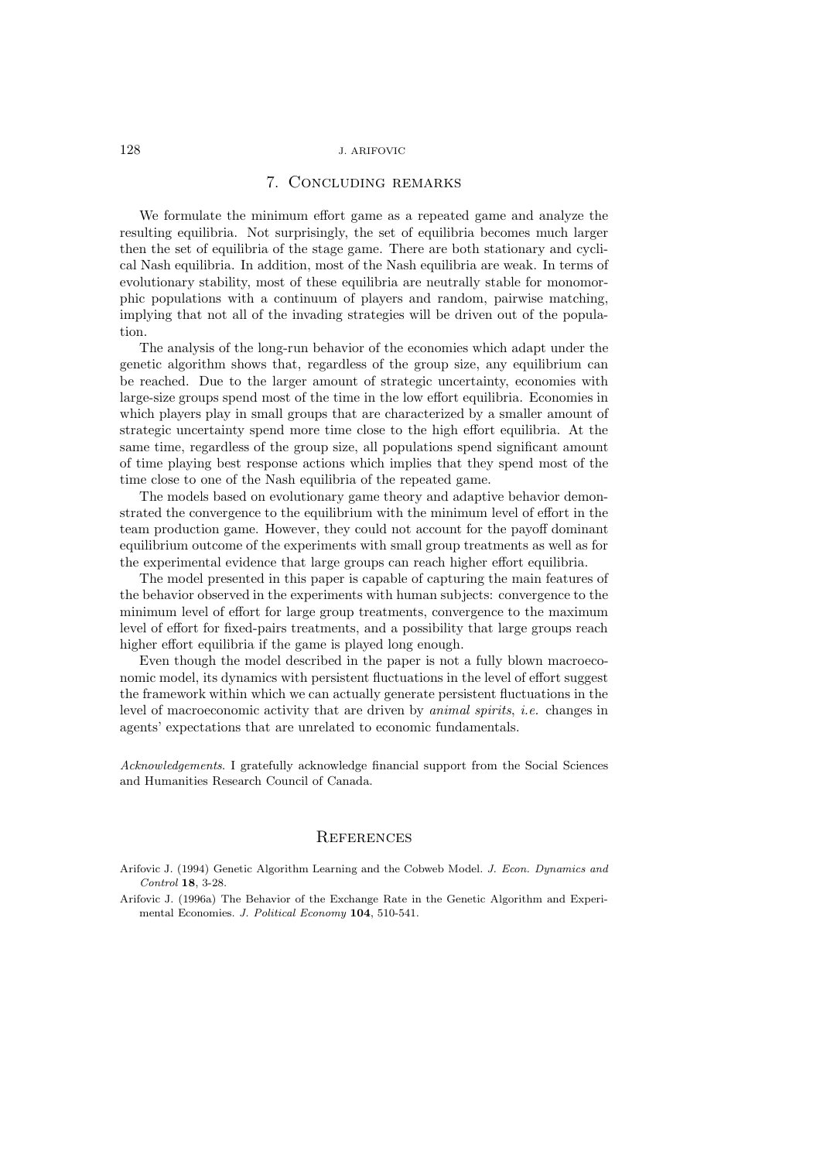## 7. Concluding remarks

We formulate the minimum effort game as a repeated game and analyze the resulting equilibria. Not surprisingly, the set of equilibria becomes much larger then the set of equilibria of the stage game. There are both stationary and cyclical Nash equilibria. In addition, most of the Nash equilibria are weak. In terms of evolutionary stability, most of these equilibria are neutrally stable for monomorphic populations with a continuum of players and random, pairwise matching, implying that not all of the invading strategies will be driven out of the population.

The analysis of the long-run behavior of the economies which adapt under the genetic algorithm shows that, regardless of the group size, any equilibrium can be reached. Due to the larger amount of strategic uncertainty, economies with large-size groups spend most of the time in the low effort equilibria. Economies in which players play in small groups that are characterized by a smaller amount of strategic uncertainty spend more time close to the high effort equilibria. At the same time, regardless of the group size, all populations spend significant amount of time playing best response actions which implies that they spend most of the time close to one of the Nash equilibria of the repeated game.

The models based on evolutionary game theory and adaptive behavior demonstrated the convergence to the equilibrium with the minimum level of effort in the team production game. However, they could not account for the payoff dominant equilibrium outcome of the experiments with small group treatments as well as for the experimental evidence that large groups can reach higher effort equilibria.

The model presented in this paper is capable of capturing the main features of the behavior observed in the experiments with human subjects: convergence to the minimum level of effort for large group treatments, convergence to the maximum level of effort for fixed-pairs treatments, and a possibility that large groups reach higher effort equilibria if the game is played long enough.

Even though the model described in the paper is not a fully blown macroeconomic model, its dynamics with persistent fluctuations in the level of effort suggest the framework within which we can actually generate persistent fluctuations in the level of macroeconomic activity that are driven by *animal spirits*, *i.e.* changes in agents' expectations that are unrelated to economic fundamentals.

Acknowledgements. I gratefully acknowledge financial support from the Social Sciences and Humanities Research Council of Canada.

## **REFERENCES**

- Arifovic J. (1994) Genetic Algorithm Learning and the Cobweb Model. J. Econ. Dynamics and Control **18**, 3-28.
- Arifovic J. (1996a) The Behavior of the Exchange Rate in the Genetic Algorithm and Experimental Economies. J. Political Economy **104**, 510-541.